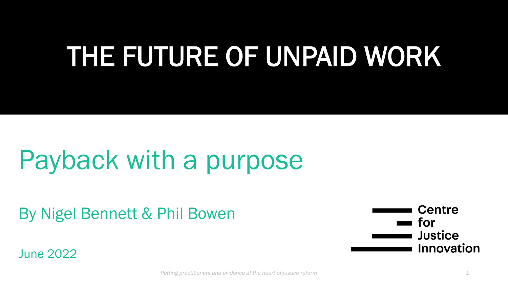# THE FUTURE OF UNPAID WORK

# Payback with a purpose

By Nigel Bennett & Phil Bowen

June 2022

**Centre** for **Justice Innovation**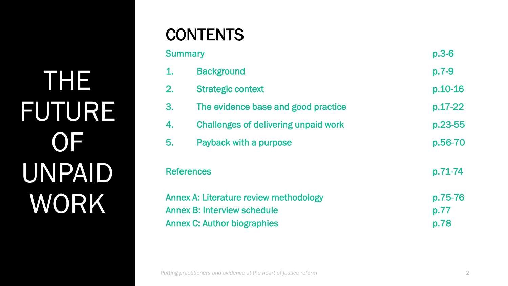THE FUTURE **OF** UNPAID WORK

### **CONTENTS**

| <b>Summary</b>                                                                                                     |                                             | $p.3-6$                 |
|--------------------------------------------------------------------------------------------------------------------|---------------------------------------------|-------------------------|
| $\mathbf{1}$ .                                                                                                     | <b>Background</b>                           | $p.7-9$                 |
| 2.                                                                                                                 | <b>Strategic context</b>                    | p.10-16                 |
| 3.                                                                                                                 | The evidence base and good practice         | p.17-22                 |
| 4.                                                                                                                 | <b>Challenges of delivering unpaid work</b> | p.23-55                 |
| 5.                                                                                                                 | Payback with a purpose                      | p.56-70                 |
| <b>References</b>                                                                                                  |                                             | p.71-74                 |
| Annex A: Literature review methodology<br><b>Annex B: Interview schedule</b><br><b>Annex C: Author biographies</b> |                                             | p.75-76<br>p.77<br>p.78 |
|                                                                                                                    |                                             |                         |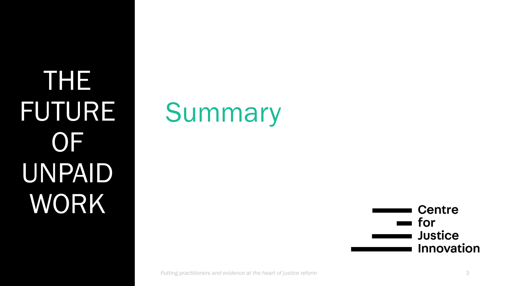THE FUTURE **OF** UNPAID WORK





*Putting practitioners and evidence at the heart of justice reform* 3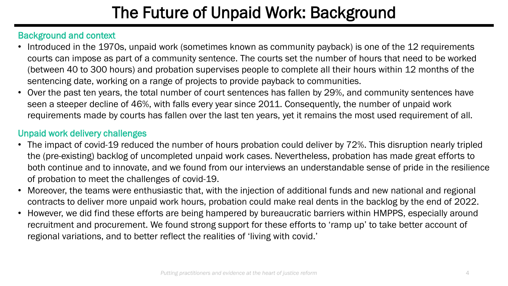# The Future of Unpaid Work: Background

### Background and context

- Introduced in the 1970s, unpaid work (sometimes known as community payback) is one of the 12 requirements courts can impose as part of a community sentence. The courts set the number of hours that need to be worked (between 40 to 300 hours) and probation supervises people to complete all their hours within 12 months of the sentencing date, working on a range of projects to provide payback to communities.
- Over the past ten years, the total number of court sentences has fallen by 29%, and community sentences have seen a steeper decline of 46%, with falls every year since 2011. Consequently, the number of unpaid work requirements made by courts has fallen over the last ten years, yet it remains the most used requirement of all.

### Unpaid work delivery challenges

- The impact of covid-19 reduced the number of hours probation could deliver by 72%. This disruption nearly tripled the (pre-existing) backlog of uncompleted unpaid work cases. Nevertheless, probation has made great efforts to both continue and to innovate, and we found from our interviews an understandable sense of pride in the resilience of probation to meet the challenges of covid-19.
- Moreover, the teams were enthusiastic that, with the injection of additional funds and new national and regional contracts to deliver more unpaid work hours, probation could make real dents in the backlog by the end of 2022.
- However, we did find these efforts are being hampered by bureaucratic barriers within HMPPS, especially around recruitment and procurement. We found strong support for these efforts to 'ramp up' to take better account of regional variations, and to better reflect the realities of 'living with covid.'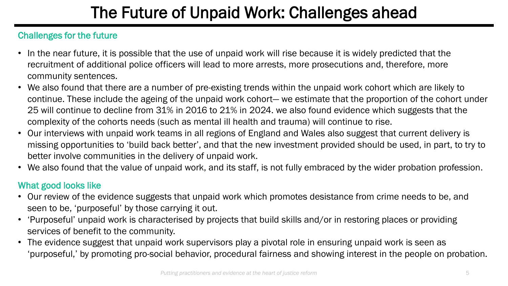# The Future of Unpaid Work: Challenges ahead

### Challenges for the future

- In the near future, it is possible that the use of unpaid work will rise because it is widely predicted that the recruitment of additional police officers will lead to more arrests, more prosecutions and, therefore, more community sentences.
- We also found that there are a number of pre-existing trends within the unpaid work cohort which are likely to continue. These include the ageing of the unpaid work cohort— we estimate that the proportion of the cohort under 25 will continue to decline from 31% in 2016 to 21% in 2024. we also found evidence which suggests that the complexity of the cohorts needs (such as mental ill health and trauma) will continue to rise.
- Our interviews with unpaid work teams in all regions of England and Wales also suggest that current delivery is missing opportunities to 'build back better', and that the new investment provided should be used, in part, to try to better involve communities in the delivery of unpaid work.
- We also found that the value of unpaid work, and its staff, is not fully embraced by the wider probation profession.

### What good looks like

- Our review of the evidence suggests that unpaid work which promotes desistance from crime needs to be, and seen to be, 'purposeful' by those carrying it out.
- 'Purposeful' unpaid work is characterised by projects that build skills and/or in restoring places or providing services of benefit to the community.
- The evidence suggest that unpaid work supervisors play a pivotal role in ensuring unpaid work is seen as 'purposeful,' by promoting pro-social behavior, procedural fairness and showing interest in the people on probation.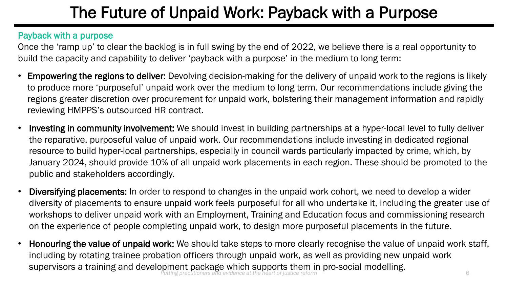# The Future of Unpaid Work: Payback with a Purpose

### Payback with a purpose

Once the 'ramp up' to clear the backlog is in full swing by the end of 2022, we believe there is a real opportunity to build the capacity and capability to deliver 'payback with a purpose' in the medium to long term:

- Empowering the regions to deliver: Devolving decision-making for the delivery of unpaid work to the regions is likely to produce more 'purposeful' unpaid work over the medium to long term. Our recommendations include giving the regions greater discretion over procurement for unpaid work, bolstering their management information and rapidly reviewing HMPPS's outsourced HR contract.
- Investing in community involvement: We should invest in building partnerships at a hyper-local level to fully deliver the reparative, purposeful value of unpaid work. Our recommendations include investing in dedicated regional resource to build hyper-local partnerships, especially in council wards particularly impacted by crime, which, by January 2024, should provide 10% of all unpaid work placements in each region. These should be promoted to the public and stakeholders accordingly.
- Diversifying placements: In order to respond to changes in the unpaid work cohort, we need to develop a wider diversity of placements to ensure unpaid work feels purposeful for all who undertake it, including the greater use of workshops to deliver unpaid work with an Employment, Training and Education focus and commissioning research on the experience of people completing unpaid work, to design more purposeful placements in the future.
- Honouring the value of unpaid work: We should take steps to more clearly recognise the value of unpaid work staff, including by rotating trainee probation officers through unpaid work, as well as providing new unpaid work supervisors a training and development package which supports them in pro-social modelling. *Putting practitioners and evidence at the heart of justice reform* 6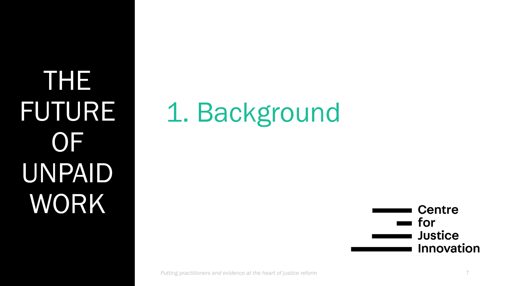THE FUTURE **OF** UNPAID WORK

# 1. Background

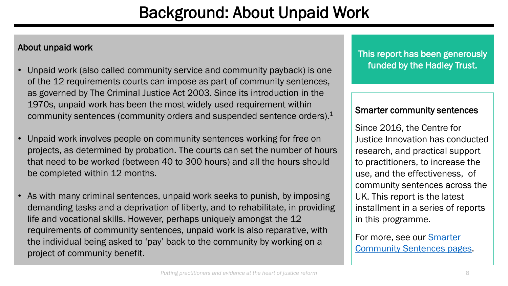### Background: About Unpaid Work

### About unpaid work

- Unpaid work (also called community service and community payback) is one of the 12 requirements courts can impose as part of community sentences, as governed by The Criminal Justice Act 2003. Since its introduction in the 1970s, unpaid work has been the most widely used requirement within community sentences (community orders and suspended sentence orders).<sup>1</sup>
- Unpaid work involves people on community sentences working for free on projects, as determined by probation. The courts can set the number of hours that need to be worked (between 40 to 300 hours) and all the hours should be completed within 12 months.
- As with many criminal sentences, unpaid work seeks to punish, by imposing demanding tasks and a deprivation of liberty, and to rehabilitate, in providing life and vocational skills. However, perhaps uniquely amongst the 12 requirements of community sentences, unpaid work is also reparative, with the individual being asked to 'pay' back to the community by working on a project of community benefit.

This report has been generously funded by the Hadley Trust.

#### Smarter community sentences

Since 2016, the Centre for Justice Innovation has conducted research, and practical support to practitioners, to increase the use, and the effectiveness, of community sentences across the UK. This report is the latest installment in a series of reports in this programme.

For more, see our Smarter [Community Sentences pages.](https://www.justiceinnovation.org/areas-of-focus/community-sentences)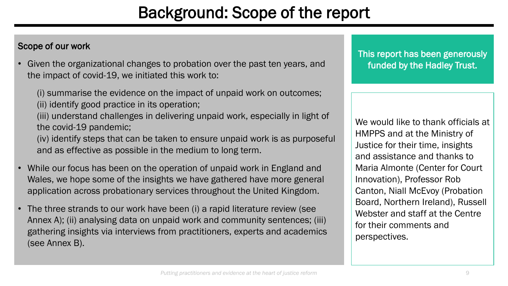### Background: Scope of the report

### Scope of our work

• Given the organizational changes to probation over the past ten years, and the impact of covid-19, we initiated this work to:

(i) summarise the evidence on the impact of unpaid work on outcomes;

(ii) identify good practice in its operation;

(iii) understand challenges in delivering unpaid work, especially in light of the covid-19 pandemic;

(iv) identify steps that can be taken to ensure unpaid work is as purposeful and as effective as possible in the medium to long term.

- While our focus has been on the operation of unpaid work in England and Wales, we hope some of the insights we have gathered have more general application across probationary services throughout the United Kingdom.
- The three strands to our work have been (i) a rapid literature review (see Annex A); (ii) analysing data on unpaid work and community sentences; (iii) gathering insights via interviews from practitioners, experts and academics (see Annex B).

This report has been generously funded by the Hadley Trust.

We would like to thank officials at HMPPS and at the Ministry of Justice for their time, insights and assistance and thanks to Maria Almonte (Center for Court Innovation), Professor Rob Canton, Niall McEvoy (Probation Board, Northern Ireland), Russell Webster and staff at the Centre for their comments and perspectives.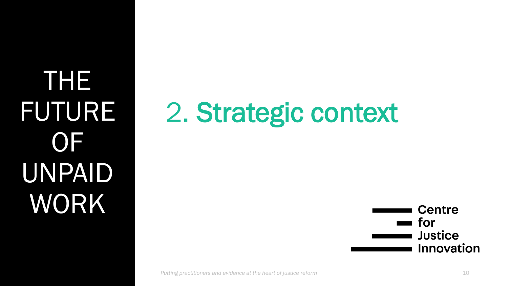THE FUTURE OF UNPAID WORK

# 2. Strategic context

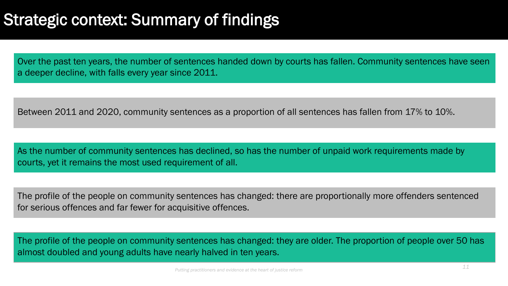### Strategic context: Summary of findings

Over the past ten years, the number of sentences handed down by courts has fallen. Community sentences have seen a deeper decline, with falls every year since 2011.

Between 2011 and 2020, community sentences as a proportion of all sentences has fallen from 17% to 10%.

As the number of community sentences has declined, so has the number of unpaid work requirements made by courts, yet it remains the most used requirement of all.

The profile of the people on community sentences has changed: there are proportionally more offenders sentenced for serious offences and far fewer for acquisitive offences.

The profile of the people on community sentences has changed: they are older. The proportion of people over 50 has almost doubled and young adults have nearly halved in ten years.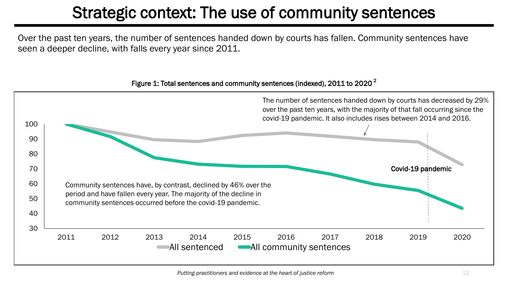### Strategic context: The use of community sentences

Over the past ten years, the number of sentences handed down by courts has fallen. Community sentences have seen a deeper decline, with falls every year since 2011.

#### Figure 1: Total sentences and community sentences (indexed),  $2011$  to  $2020<sup>2</sup>$

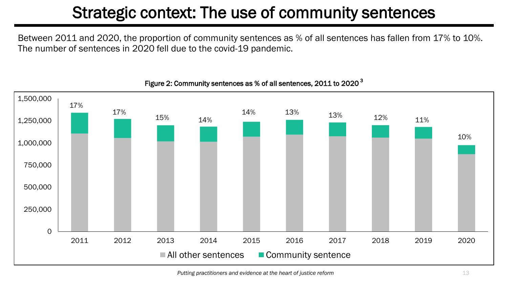## Strategic context: The use of community sentences

Between 2011 and 2020, the proportion of community sentences as % of all sentences has fallen from 17% to 10%. The number of sentences in 2020 fell due to the covid-19 pandemic.



#### Figure 2: Community sentences as % of all sentences, 2011 to 2020<sup>3</sup>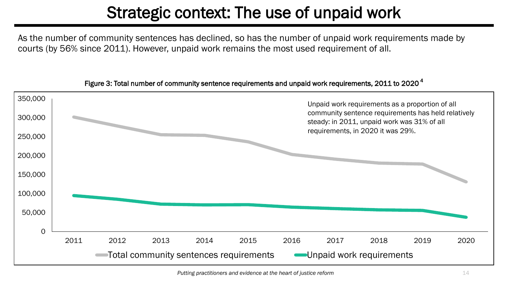### Strategic context: The use of unpaid work

As the number of community sentences has declined, so has the number of unpaid work requirements made by courts (by 56% since 2011). However, unpaid work remains the most used requirement of all.



Figure 3: Total number of community sentence requirements and unpaid work requirements, 2011 to 2020<sup>4</sup>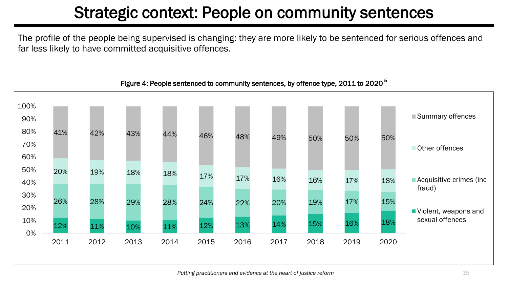### Strategic context: People on community sentences

The profile of the people being supervised is changing: they are more likely to be sentenced for serious offences and far less likely to have committed acquisitive offences.



#### Figure 4: People sentenced to community sentences, by offence type, 2011 to 2020<sup>5</sup>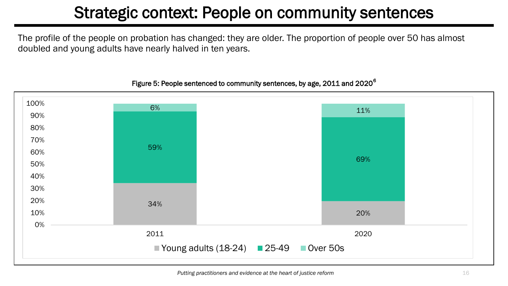### Strategic context: People on community sentences

The profile of the people on probation has changed: they are older. The proportion of people over 50 has almost doubled and young adults have nearly halved in ten years.

#### 34% 20% 59% 69%  $6\%$  11% 2011 2020 0% 10% 20% 30% 40% 50% 60% 70% 80% 90% 100% Young adults  $(18-24)$  25-49 Over 50s

#### Figure 5: People sentenced to community sentences, by age, 2011 and 2020<sup>6</sup>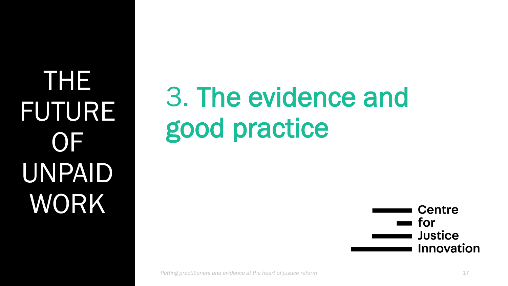THE FUTURE **OF** UNPAID WORK

# 3. The evidence and good practice

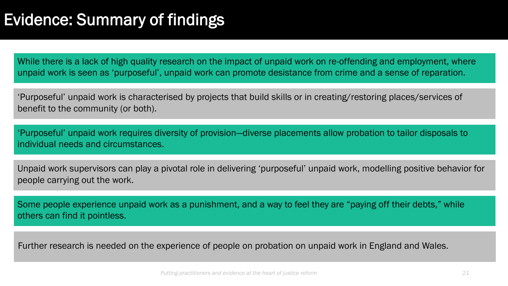### Evidence: Summary of findings

While there is a lack of high quality research on the impact of unpaid work on re-offending and employment, where unpaid work is seen as 'purposeful', unpaid work can promote desistance from crime and a sense of reparation.

'Purposeful' unpaid work is characterised by projects that build skills or in creating/restoring places/services of benefit to the community (or both).

'Purposeful' unpaid work requires diversity of provision—diverse placements allow probation to tailor disposals to individual needs and circumstances.

Unpaid work supervisors can play a pivotal role in delivering 'purposeful' unpaid work, modelling positive behavior for people carrying out the work.

Some people experience unpaid work as a punishment, and a way to feel they are "paying off their debts," while others can find it pointless.

Further research is needed on the experience of people on probation on unpaid work in England and Wales.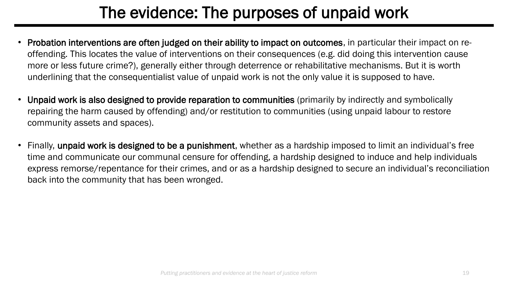### The evidence: The purposes of unpaid work

- Probation interventions are often judged on their ability to impact on outcomes, in particular their impact on reoffending. This locates the value of interventions on their consequences (e.g. did doing this intervention cause more or less future crime?), generally either through deterrence or rehabilitative mechanisms. But it is worth underlining that the consequentialist value of unpaid work is not the only value it is supposed to have.
- Unpaid work is also designed to provide reparation to communities (primarily by indirectly and symbolically repairing the harm caused by offending) and/or restitution to communities (using unpaid labour to restore community assets and spaces).
- Finally, unpaid work is designed to be a punishment, whether as a hardship imposed to limit an individual's free time and communicate our communal censure for offending, a hardship designed to induce and help individuals express remorse/repentance for their crimes, and or as a hardship designed to secure an individual's reconciliation back into the community that has been wronged.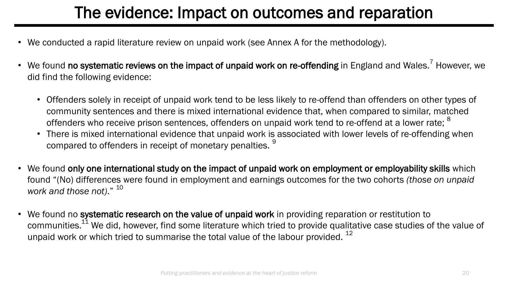### The evidence: Impact on outcomes and reparation

- We conducted a rapid literature review on unpaid work (see Annex A for the methodology).
- We found no systematic reviews on the impact of unpaid work on re-offending in England and Wales.<sup>7</sup> However, we did find the following evidence:
	- Offenders solely in receipt of unpaid work tend to be less likely to re-offend than offenders on other types of community sentences and there is mixed international evidence that, when compared to similar, matched offenders who receive prison sentences, offenders on unpaid work tend to re-offend at a lower rate; <sup>8</sup>
	- There is mixed international evidence that unpaid work is associated with lower levels of re-offending when compared to offenders in receipt of monetary penalties.<sup>9</sup>
- We found only one international study on the impact of unpaid work on employment or employability skills which found "(No) differences were found in employment and earnings outcomes for the two cohorts *(those on unpaid work and those not)*." <sup>10</sup>
- We found no systematic research on the value of unpaid work in providing reparation or restitution to communities.<sup>11</sup> We did, however, find some literature which tried to provide qualitative case studies of the value of unpaid work or which tried to summarise the total value of the labour provided.  $^{12}$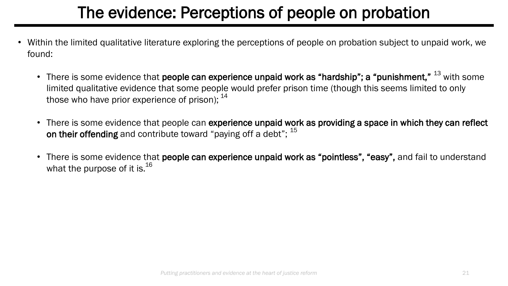### The evidence: Perceptions of people on probation

- Within the limited qualitative literature exploring the perceptions of people on probation subject to unpaid work, we found:
	- There is some evidence that **people can experience unpaid work as "hardship"; a "punishment,"**  $^{13}$  with some limited qualitative evidence that some people would prefer prison time (though this seems limited to only those who have prior experience of prison);  $^{14}$
	- There is some evidence that people can experience unpaid work as providing a space in which they can reflect on their offending and contribute toward "paying off a debt";  $^{15}$
	- There is some evidence that people can experience unpaid work as "pointless", "easy", and fail to understand what the purpose of it is. $^{16}$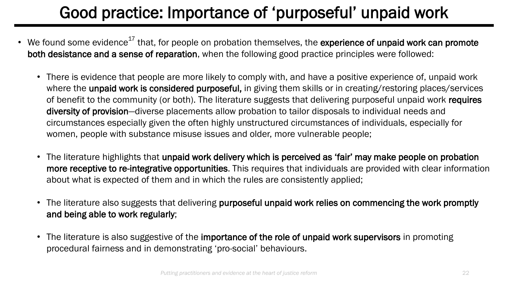# Good practice: Importance of 'purposeful' unpaid work

- We found some evidence<sup>17</sup> that, for people on probation themselves, the experience of unpaid work can promote both desistance and a sense of reparation, when the following good practice principles were followed:
	- There is evidence that people are more likely to comply with, and have a positive experience of, unpaid work where the **unpaid work is considered purposeful**, in giving them skills or in creating/restoring places/services of benefit to the community (or both). The literature suggests that delivering purposeful unpaid work requires diversity of provision—diverse placements allow probation to tailor disposals to individual needs and circumstances especially given the often highly unstructured circumstances of individuals, especially for women, people with substance misuse issues and older, more vulnerable people;
	- The literature highlights that unpaid work delivery which is perceived as 'fair' may make people on probation more receptive to re-integrative opportunities. This requires that individuals are provided with clear information about what is expected of them and in which the rules are consistently applied;
	- The literature also suggests that delivering purposeful unpaid work relies on commencing the work promptly and being able to work regularly;
	- The literature is also suggestive of the importance of the role of unpaid work supervisors in promoting procedural fairness and in demonstrating 'pro-social' behaviours.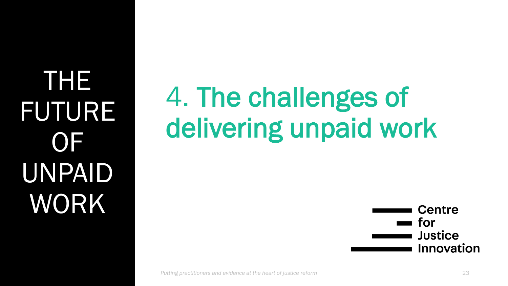THE FUTURE OF UNPAID WORK

# 4. The challenges of delivering unpaid work

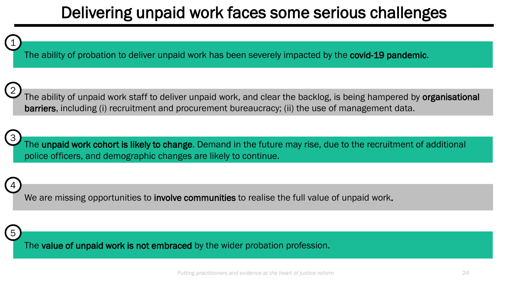### Delivering unpaid work faces some serious challenges



The ability of probation to deliver unpaid work has been severely impacted by the covid-19 pandemic.



The ability of unpaid work staff to deliver unpaid work, and clear the backlog, is being hampered by organisational barriers, including (i) recruitment and procurement bureaucracy; (ii) the use of management data.



The unpaid work cohort is likely to change. Demand in the future may rise, due to the recruitment of additional police officers, and demographic changes are likely to continue.

We are missing opportunities to involve communities to realise the full value of unpaid work.



4

The value of unpaid work is not embraced by the wider probation profession.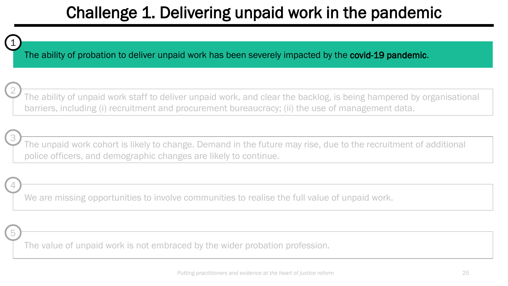

2

3

5

4

The ability of probation to deliver unpaid work has been severely impacted by the covid-19 pandemic.

The ability of unpaid work staff to deliver unpaid work, and clear the backlog, is being hampered by organisational barriers, including (i) recruitment and procurement bureaucracy; (ii) the use of management data.

The unpaid work cohort is likely to change. Demand in the future may rise, due to the recruitment of additional police officers, and demographic changes are likely to continue.

We are missing opportunities to involve communities to realise the full value of unpaid work.

The value of unpaid work is not embraced by the wider probation profession.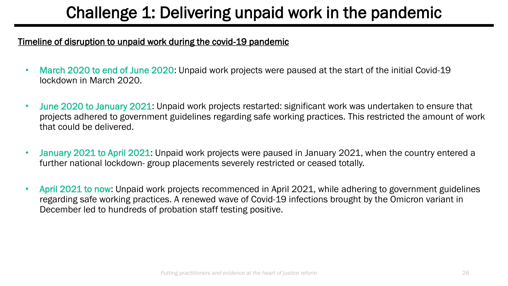#### Timeline of disruption to unpaid work during the covid-19 pandemic

- March 2020 to end of June 2020: Unpaid work projects were paused at the start of the initial Covid-19 lockdown in March 2020.
- June 2020 to January 2021: Unpaid work projects restarted: significant work was undertaken to ensure that projects adhered to government guidelines regarding safe working practices. This restricted the amount of work that could be delivered.
- January 2021 to April 2021: Unpaid work projects were paused in January 2021, when the country entered a further national lockdown- group placements severely restricted or ceased totally.
- April 2021 to now: Unpaid work projects recommenced in April 2021, while adhering to government guidelines regarding safe working practices. A renewed wave of Covid-19 infections brought by the Omicron variant in December led to hundreds of probation staff testing positive.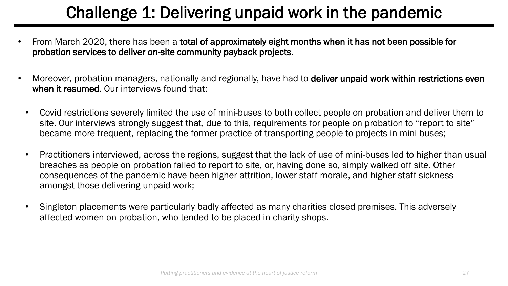- From March 2020, there has been a total of approximately eight months when it has not been possible for probation services to deliver on-site community payback projects.
- Moreover, probation managers, nationally and regionally, have had to deliver unpaid work within restrictions even when it resumed. Our interviews found that:
	- Covid restrictions severely limited the use of mini-buses to both collect people on probation and deliver them to site. Our interviews strongly suggest that, due to this, requirements for people on probation to "report to site" became more frequent, replacing the former practice of transporting people to projects in mini-buses;
	- Practitioners interviewed, across the regions, suggest that the lack of use of mini-buses led to higher than usual breaches as people on probation failed to report to site, or, having done so, simply walked off site. Other consequences of the pandemic have been higher attrition, lower staff morale, and higher staff sickness amongst those delivering unpaid work;
	- Singleton placements were particularly badly affected as many charities closed premises. This adversely affected women on probation, who tended to be placed in charity shops.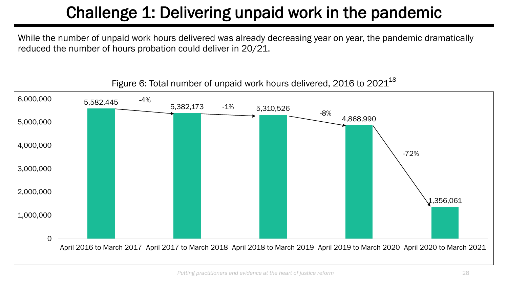While the number of unpaid work hours delivered was already decreasing year on year, the pandemic dramatically reduced the number of hours probation could deliver in 20/21.



Figure 6: Total number of unpaid work hours delivered, 2016 to  $2021^{18}$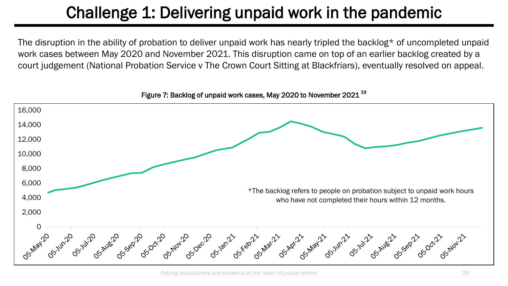The disruption in the ability of probation to deliver unpaid work has nearly tripled the backlog\* of uncompleted unpaid work cases between May 2020 and November 2021. This disruption came on top of an earlier backlog created by a court judgement (National Probation Service v The Crown Court Sitting at Blackfriars), eventually resolved on appeal.



Figure 7: Backlog of unpaid work cases, May 2020 to November 2021<sup>19</sup>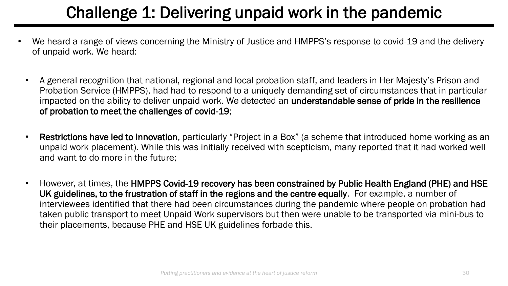- We heard a range of views concerning the Ministry of Justice and HMPPS's response to covid-19 and the delivery of unpaid work. We heard:
	- A general recognition that national, regional and local probation staff, and leaders in Her Majesty's Prison and Probation Service (HMPPS), had had to respond to a uniquely demanding set of circumstances that in particular impacted on the ability to deliver unpaid work. We detected an understandable sense of pride in the resilience of probation to meet the challenges of covid-19;
	- Restrictions have led to innovation, particularly "Project in a Box" (a scheme that introduced home working as an unpaid work placement). While this was initially received with scepticism, many reported that it had worked well and want to do more in the future;
	- However, at times, the HMPPS Covid-19 recovery has been constrained by Public Health England (PHE) and HSE UK guidelines, to the frustration of staff in the regions and the centre equally. For example, a number of interviewees identified that there had been circumstances during the pandemic where people on probation had taken public transport to meet Unpaid Work supervisors but then were unable to be transported via mini-bus to their placements, because PHE and HSE UK guidelines forbade this.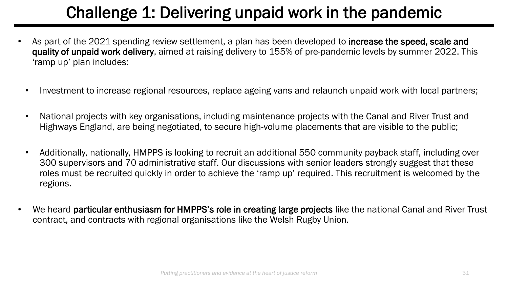- As part of the 2021 spending review settlement, a plan has been developed to **increase the speed, scale and** quality of unpaid work delivery, aimed at raising delivery to 155% of pre-pandemic levels by summer 2022. This 'ramp up' plan includes:
	- Investment to increase regional resources, replace ageing vans and relaunch unpaid work with local partners;
	- National projects with key organisations, including maintenance projects with the Canal and River Trust and Highways England, are being negotiated, to secure high-volume placements that are visible to the public;
	- Additionally, nationally, HMPPS is looking to recruit an additional 550 community payback staff, including over 300 supervisors and 70 administrative staff. Our discussions with senior leaders strongly suggest that these roles must be recruited quickly in order to achieve the 'ramp up' required. This recruitment is welcomed by the regions.
- We heard particular enthusiasm for HMPPS's role in creating large projects like the national Canal and River Trust contract, and contracts with regional organisations like the Welsh Rugby Union.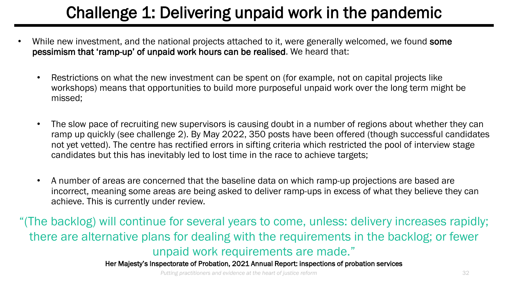- While new investment, and the national projects attached to it, were generally welcomed, we found some pessimism that 'ramp-up' of unpaid work hours can be realised. We heard that:
	- Restrictions on what the new investment can be spent on (for example, not on capital projects like workshops) means that opportunities to build more purposeful unpaid work over the long term might be missed;
	- The slow pace of recruiting new supervisors is causing doubt in a number of regions about whether they can ramp up quickly (see challenge 2). By May 2022, 350 posts have been offered (though successful candidates not yet vetted). The centre has rectified errors in sifting criteria which restricted the pool of interview stage candidates but this has inevitably led to lost time in the race to achieve targets;
	- A number of areas are concerned that the baseline data on which ramp-up projections are based are incorrect, meaning some areas are being asked to deliver ramp-ups in excess of what they believe they can achieve. This is currently under review.

"(The backlog) will continue for several years to come, unless: delivery increases rapidly; there are alternative plans for dealing with the requirements in the backlog; or fewer unpaid work requirements are made."

Her Majesty's Inspectorate of Probation, 2021 Annual Report: inspections of probation services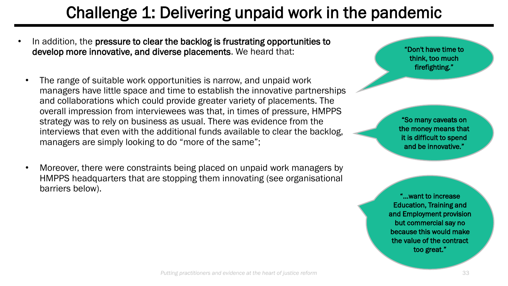- In addition, the pressure to clear the backlog is frustrating opportunities to develop more innovative, and diverse placements. We heard that:
	- The range of suitable work opportunities is narrow, and unpaid work managers have little space and time to establish the innovative partnerships and collaborations which could provide greater variety of placements. The overall impression from interviewees was that, in times of pressure, HMPPS strategy was to rely on business as usual. There was evidence from the interviews that even with the additional funds available to clear the backlog, managers are simply looking to do "more of the same";
	- Moreover, there were constraints being placed on unpaid work managers by HMPPS headquarters that are stopping them innovating (see organisational barriers below).

"Don't have time to think, too much firefighting."

"So many caveats on the money means that it is difficult to spend and be innovative."

"…want to increase Education, Training and and Employment provision but commercial say no because this would make the value of the contract too great."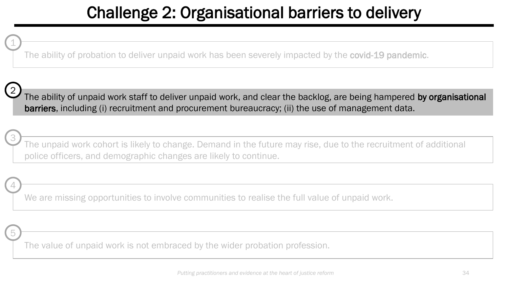### Challenge 2: Organisational barriers to delivery

The ability of probation to deliver unpaid work has been severely impacted by the **covid-19 pandemic**.



3

5

4

1

The ability of unpaid work staff to deliver unpaid work, and clear the backlog, are being hampered by organisational barriers, including (i) recruitment and procurement bureaucracy; (ii) the use of management data.

The unpaid work cohort is likely to change. Demand in the future may rise, due to the recruitment of additional police officers, and demographic changes are likely to continue.

We are missing opportunities to involve communities to realise the full value of unpaid work.

The value of unpaid work is not embraced by the wider probation profession.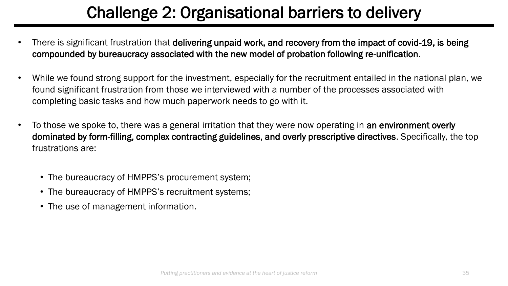## Challenge 2: Organisational barriers to delivery

- There is significant frustration that delivering unpaid work, and recovery from the impact of covid-19, is being compounded by bureaucracy associated with the new model of probation following re-unification.
- While we found strong support for the investment, especially for the recruitment entailed in the national plan, we found significant frustration from those we interviewed with a number of the processes associated with completing basic tasks and how much paperwork needs to go with it.
- To those we spoke to, there was a general irritation that they were now operating in an environment overly dominated by form-filling, complex contracting guidelines, and overly prescriptive directives. Specifically, the top frustrations are:
	- The bureaucracy of HMPPS's procurement system;
	- The bureaucracy of HMPPS's recruitment systems;
	- The use of management information.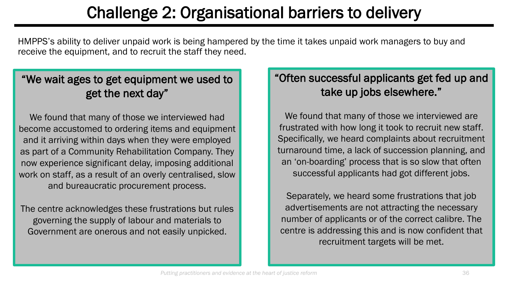### Challenge 2: Organisational barriers to delivery

HMPPS's ability to deliver unpaid work is being hampered by the time it takes unpaid work managers to buy and receive the equipment, and to recruit the staff they need.

### "We wait ages to get equipment we used to get the next day"

We found that many of those we interviewed had become accustomed to ordering items and equipment and it arriving within days when they were employed as part of a Community Rehabilitation Company. They now experience significant delay, imposing additional work on staff, as a result of an overly centralised, slow and bureaucratic procurement process.

The centre acknowledges these frustrations but rules governing the supply of labour and materials to Government are onerous and not easily unpicked.

### "Often successful applicants get fed up and take up jobs elsewhere."

We found that many of those we interviewed are frustrated with how long it took to recruit new staff. Specifically, we heard complaints about recruitment turnaround time, a lack of succession planning, and an 'on-boarding' process that is so slow that often successful applicants had got different jobs.

Separately, we heard some frustrations that job advertisements are not attracting the necessary number of applicants or of the correct calibre. The centre is addressing this and is now confident that recruitment targets will be met.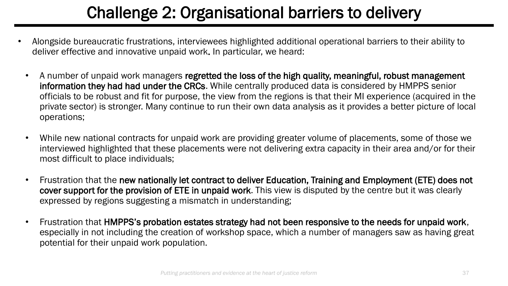### Challenge 2: Organisational barriers to delivery

- Alongside bureaucratic frustrations, interviewees highlighted additional operational barriers to their ability to deliver effective and innovative unpaid work. In particular, we heard:
	- A number of unpaid work managers regretted the loss of the high quality, meaningful, robust management information they had had under the CRCs. While centrally produced data is considered by HMPPS senior officials to be robust and fit for purpose, the view from the regions is that their MI experience (acquired in the private sector) is stronger. Many continue to run their own data analysis as it provides a better picture of local operations;
	- While new national contracts for unpaid work are providing greater volume of placements, some of those we interviewed highlighted that these placements were not delivering extra capacity in their area and/or for their most difficult to place individuals;
	- Frustration that the new nationally let contract to deliver Education, Training and Employment (ETE) does not cover support for the provision of ETE in unpaid work. This view is disputed by the centre but it was clearly expressed by regions suggesting a mismatch in understanding;
	- Frustration that HMPPS's probation estates strategy had not been responsive to the needs for unpaid work, especially in not including the creation of workshop space, which a number of managers saw as having great potential for their unpaid work population.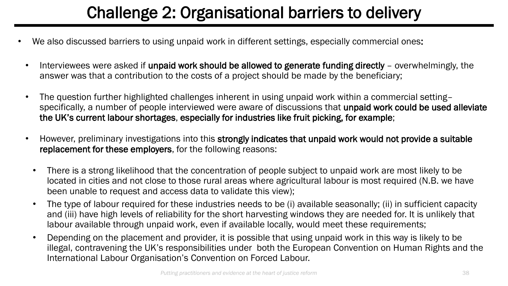### Challenge 2: Organisational barriers to delivery

- We also discussed barriers to using unpaid work in different settings, especially commercial ones:
	- Interviewees were asked if unpaid work should be allowed to generate funding directly overwhelmingly, the answer was that a contribution to the costs of a project should be made by the beneficiary;
	- The question further highlighted challenges inherent in using unpaid work within a commercial setting– specifically, a number of people interviewed were aware of discussions that unpaid work could be used alleviate the UK's current labour shortages, especially for industries like fruit picking, for example;
	- However, preliminary investigations into this strongly indicates that unpaid work would not provide a suitable replacement for these employers, for the following reasons:
		- There is a strong likelihood that the concentration of people subject to unpaid work are most likely to be located in cities and not close to those rural areas where agricultural labour is most required (N.B. we have been unable to request and access data to validate this view);
		- The type of labour required for these industries needs to be (i) available seasonally; (ii) in sufficient capacity and (iii) have high levels of reliability for the short harvesting windows they are needed for. It is unlikely that labour available through unpaid work, even if available locally, would meet these requirements;
		- Depending on the placement and provider, it is possible that using unpaid work in this way is likely to be illegal, contravening the UK's responsibilities under both the European Convention on Human Rights and the International Labour Organisation's Convention on Forced Labour.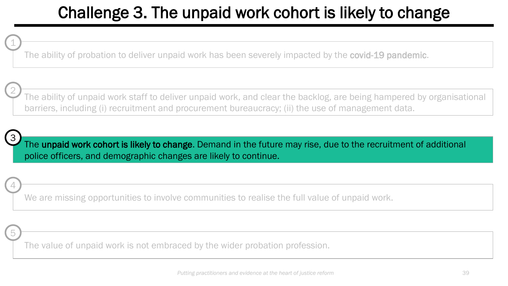The ability of probation to deliver unpaid work has been severely impacted by the **covid-19 pandemic**.

The ability of unpaid work staff to deliver unpaid work, and clear the backlog, are being hampered by organisational barriers, including (i) recruitment and procurement bureaucracy; (ii) the use of management data.

3

5

4

1

2

The unpaid work cohort is likely to change. Demand in the future may rise, due to the recruitment of additional police officers, and demographic changes are likely to continue.

We are missing opportunities to involve communities to realise the full value of unpaid work.

The value of unpaid work is not embraced by the wider probation profession.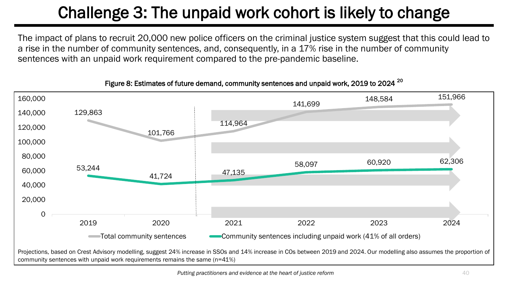The impact of plans to recruit 20,000 new police officers on the criminal justice system suggest that this could lead to a rise in the number of community sentences, and, consequently, in a 17% rise in the number of community sentences with an unpaid work requirement compared to the pre-pandemic baseline.



#### Figure 8: Estimates of future demand, community sentences and unpaid work, 2019 to 2024<sup>20</sup>

community sentences with unpaid work requirements remains the same (n=41%)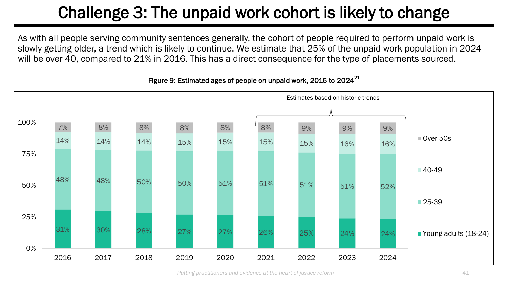As with all people serving community sentences generally, the cohort of people required to perform unpaid work is slowly getting older, a trend which is likely to continue. We estimate that 25% of the unpaid work population in 2024 will be over 40, compared to 21% in 2016. This has a direct consequence for the type of placements sourced.



#### Figure 9: Estimated ages of people on unpaid work, 2016 to 2024<sup>21</sup>

*Putting practitioners and evidence at the heart of justice reform*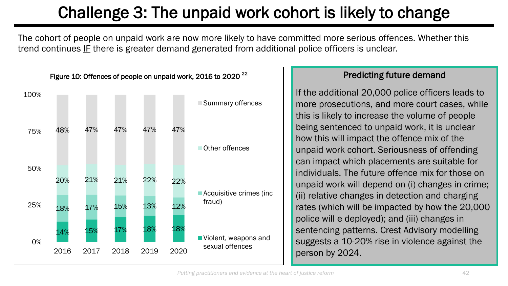The cohort of people on unpaid work are now more likely to have committed more serious offences. Whether this trend continues IF there is greater demand generated from additional police officers is unclear.



#### Predicting future demand

If the additional 20,000 police officers leads to more prosecutions, and more court cases, while this is likely to increase the volume of people being sentenced to unpaid work, it is unclear how this will impact the offence mix of the unpaid work cohort. Seriousness of offending can impact which placements are suitable for individuals. The future offence mix for those on unpaid work will depend on (i) changes in crime; (ii) relative changes in detection and charging rates (which will be impacted by how the 20,000 police will e deployed); and (iii) changes in sentencing patterns. Crest Advisory modelling suggests a 10-20% rise in violence against the person by 2024.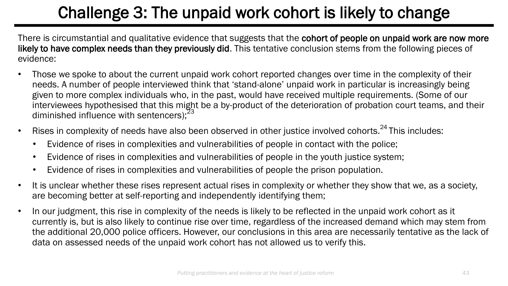There is circumstantial and qualitative evidence that suggests that the cohort of people on unpaid work are now more likely to have complex needs than they previously did. This tentative conclusion stems from the following pieces of evidence:

- Those we spoke to about the current unpaid work cohort reported changes over time in the complexity of their needs. A number of people interviewed think that 'stand-alone' unpaid work in particular is increasingly being given to more complex individuals who, in the past, would have received multiple requirements. (Some of our interviewees hypothesised that this might be a by-product of the deterioration of probation court teams, and their diminished influence with sentencers); $<sup>2</sup>$ </sup>
- Rises in complexity of needs have also been observed in other justice involved cohorts.<sup>24</sup>This includes:
	- Evidence of rises in complexities and vulnerabilities of people in contact with the police;
	- Evidence of rises in complexities and vulnerabilities of people in the youth justice system;
	- Evidence of rises in complexities and vulnerabilities of people the prison population.
- It is unclear whether these rises represent actual rises in complexity or whether they show that we, as a society, are becoming better at self-reporting and independently identifying them;
- In our judgment, this rise in complexity of the needs is likely to be reflected in the unpaid work cohort as it currently is, but is also likely to continue rise over time, regardless of the increased demand which may stem from the additional 20,000 police officers. However, our conclusions in this area are necessarily tentative as the lack of data on assessed needs of the unpaid work cohort has not allowed us to verify this.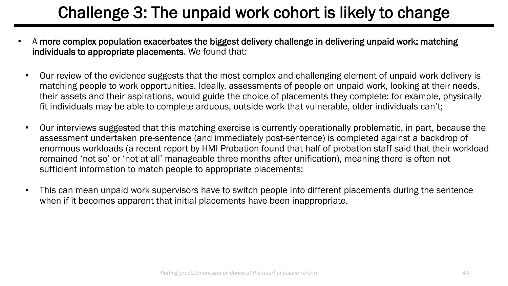- A more complex population exacerbates the biggest delivery challenge in delivering unpaid work: matching individuals to appropriate placements. We found that:
	- Our review of the evidence suggests that the most complex and challenging element of unpaid work delivery is matching people to work opportunities. Ideally, assessments of people on unpaid work, looking at their needs, their assets and their aspirations, would guide the choice of placements they complete: for example, physically fit individuals may be able to complete arduous, outside work that vulnerable, older individuals can't;
	- Our interviews suggested that this matching exercise is currently operationally problematic, in part, because the assessment undertaken pre-sentence (and immediately post-sentence) is completed against a backdrop of enormous workloads (a recent report by HMI Probation found that half of probation staff said that their workload remained 'not so' or 'not at all' manageable three months after unification), meaning there is often not sufficient information to match people to appropriate placements;
	- This can mean unpaid work supervisors have to switch people into different placements during the sentence when if it becomes apparent that initial placements have been inappropriate.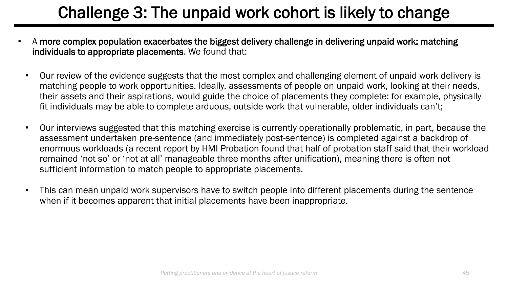- A more complex population exacerbates the biggest delivery challenge in delivering unpaid work: matching individuals to appropriate placements. We found that:
	- Our review of the evidence suggests that the most complex and challenging element of unpaid work delivery is matching people to work opportunities. Ideally, assessments of people on unpaid work, looking at their needs, their assets and their aspirations, would guide the choice of placements they complete: for example, physically fit individuals may be able to complete arduous, outside work that vulnerable, older individuals can't;
	- Our interviews suggested that this matching exercise is currently operationally problematic, in part, because the assessment undertaken pre-sentence (and immediately post-sentence) is completed against a backdrop of enormous workloads (a recent report by HMI Probation found that half of probation staff said that their workload remained 'not so' or 'not at all' manageable three months after unification), meaning there is often not sufficient information to match people to appropriate placements.
	- This can mean unpaid work supervisors have to switch people into different placements during the sentence when if it becomes apparent that initial placements have been inappropriate.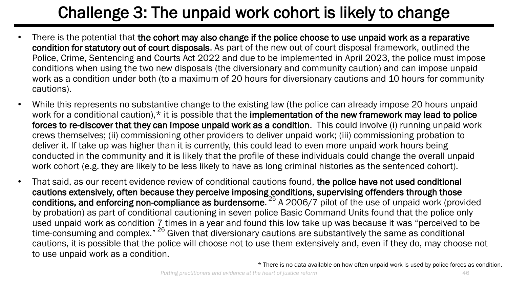- There is the potential that the cohort may also change if the police choose to use unpaid work as a reparative condition for statutory out of court disposals. As part of the new out of court disposal framework, outlined the Police, Crime, Sentencing and Courts Act 2022 and due to be implemented in April 2023, the police must impose conditions when using the two new disposals (the diversionary and community caution) and can impose unpaid work as a condition under both (to a maximum of 20 hours for diversionary cautions and 10 hours for community cautions).
- While this represents no substantive change to the existing law (the police can already impose 20 hours unpaid work for a conditional caution), <sup>\*</sup> it is possible that the implementation of the new framework may lead to police forces to re-discover that they can impose unpaid work as a condition. This could involve (i) running unpaid work crews themselves; (ii) commissioning other providers to deliver unpaid work; (iii) commissioning probation to deliver it. If take up was higher than it is currently, this could lead to even more unpaid work hours being conducted in the community and it is likely that the profile of these individuals could change the overall unpaid work cohort (e.g. they are likely to be less likely to have as long criminal histories as the sentenced cohort).
- That said, as our recent evidence review of conditional cautions found, the police have not used conditional cautions extensively, often because they perceive imposing conditions, supervising offenders through those conditions, and enforcing non-compliance as burdensome.<sup>25</sup> A 2006/7 pilot of the use of unpaid work (provided by probation) as part of conditional cautioning in seven police Basic Command Units found that the police only used unpaid work as condition 7 times in a year and found this low take up was because it was "perceived to be time-consuming and complex." <sup>26</sup> Given that diversionary cautions are substantively the same as conditional cautions, it is possible that the police will choose not to use them extensively and, even if they do, may choose not to use unpaid work as a condition.

\* There is no data available on how often unpaid work is used by police forces as condition.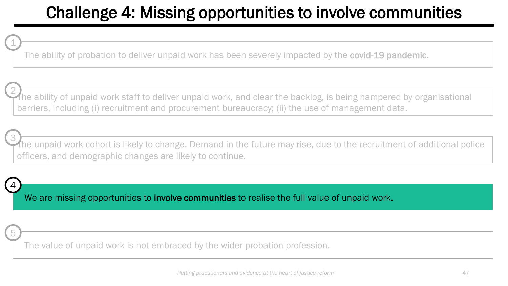The ability of probation to deliver unpaid work has been severely impacted by the **covid-19 pandemic**.

The ability of unpaid work staff to deliver unpaid work, and clear the backlog, is being hampered by organisational barriers, including (i) recruitment and procurement bureaucracy; (ii) the use of management data. 2

The unpaid work cohort is likely to change. Demand in the future may rise, due to the recruitment of additional police officers, and demographic changes are likely to continue. 3

4

5

1

We are missing opportunities to involve communities to realise the full value of unpaid work.

The value of unpaid work is not embraced by the wider probation profession.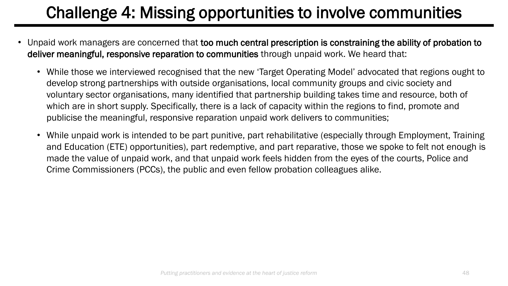- Unpaid work managers are concerned that too much central prescription is constraining the ability of probation to deliver meaningful, responsive reparation to communities through unpaid work. We heard that:
	- While those we interviewed recognised that the new 'Target Operating Model' advocated that regions ought to develop strong partnerships with outside organisations, local community groups and civic society and voluntary sector organisations, many identified that partnership building takes time and resource, both of which are in short supply. Specifically, there is a lack of capacity within the regions to find, promote and publicise the meaningful, responsive reparation unpaid work delivers to communities;
	- While unpaid work is intended to be part punitive, part rehabilitative (especially through Employment, Training and Education (ETE) opportunities), part redemptive, and part reparative, those we spoke to felt not enough is made the value of unpaid work, and that unpaid work feels hidden from the eyes of the courts, Police and Crime Commissioners (PCCs), the public and even fellow probation colleagues alike.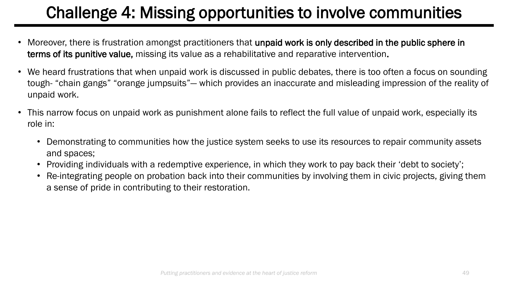- Moreover, there is frustration amongst practitioners that unpaid work is only described in the public sphere in terms of its punitive value, missing its value as a rehabilitative and reparative intervention.
- We heard frustrations that when unpaid work is discussed in public debates, there is too often a focus on sounding tough- "chain gangs" "orange jumpsuits"— which provides an inaccurate and misleading impression of the reality of unpaid work.
- This narrow focus on unpaid work as punishment alone fails to reflect the full value of unpaid work, especially its role in:
	- Demonstrating to communities how the justice system seeks to use its resources to repair community assets and spaces;
	- Providing individuals with a redemptive experience, in which they work to pay back their 'debt to society';
	- Re-integrating people on probation back into their communities by involving them in civic projects, giving them a sense of pride in contributing to their restoration.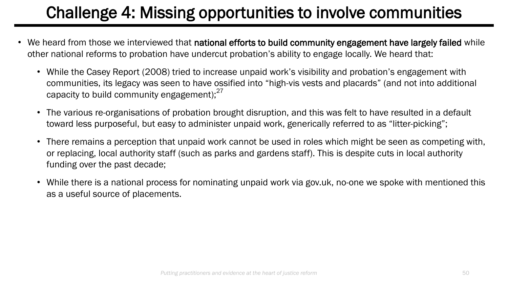- We heard from those we interviewed that national efforts to build community engagement have largely failed while other national reforms to probation have undercut probation's ability to engage locally. We heard that:
	- While the Casey Report (2008) tried to increase unpaid work's visibility and probation's engagement with communities, its legacy was seen to have ossified into "high-vis vests and placards" (and not into additional capacity to build community engagement); $^{27}$
	- The various re-organisations of probation brought disruption, and this was felt to have resulted in a default toward less purposeful, but easy to administer unpaid work, generically referred to as "litter-picking";
	- There remains a perception that unpaid work cannot be used in roles which might be seen as competing with, or replacing, local authority staff (such as parks and gardens staff). This is despite cuts in local authority funding over the past decade;
	- While there is a national process for nominating unpaid work via gov.uk, no-one we spoke with mentioned this as a useful source of placements.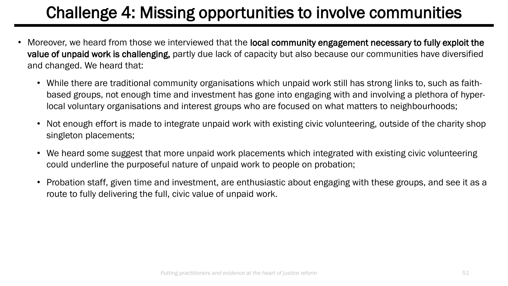- Moreover, we heard from those we interviewed that the local community engagement necessary to fully exploit the value of unpaid work is challenging, partly due lack of capacity but also because our communities have diversified and changed. We heard that:
	- While there are traditional community organisations which unpaid work still has strong links to, such as faithbased groups, not enough time and investment has gone into engaging with and involving a plethora of hyperlocal voluntary organisations and interest groups who are focused on what matters to neighbourhoods;
	- Not enough effort is made to integrate unpaid work with existing civic volunteering, outside of the charity shop singleton placements;
	- We heard some suggest that more unpaid work placements which integrated with existing civic volunteering could underline the purposeful nature of unpaid work to people on probation;
	- Probation staff, given time and investment, are enthusiastic about engaging with these groups, and see it as a route to fully delivering the full, civic value of unpaid work.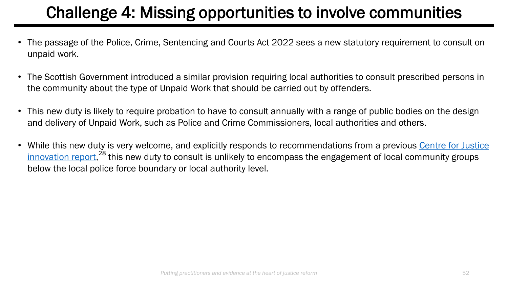- The passage of the Police, Crime, Sentencing and Courts Act 2022 sees a new statutory requirement to consult on unpaid work.
- The Scottish Government introduced a similar provision requiring local authorities to consult prescribed persons in the community about the type of Unpaid Work that should be carried out by offenders.
- This new duty is likely to require probation to have to consult annually with a range of public bodies on the design and delivery of Unpaid Work, such as Police and Crime Commissioners, local authorities and others.
- [While this new duty is very welcome, and explicitly responds to recommendations from a previous Centre for Justice](https://www.justiceinnovation.org/sites/default/files/media/documents/2020-09/smarter_community_sentences.pdf) innovation report,<sup>28</sup> this new duty to consult is unlikely to encompass the engagement of local community groups below the local police force boundary or local authority level.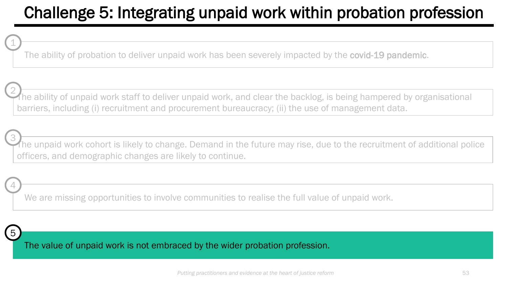### Challenge 5: Integrating unpaid work within probation profession

The ability of probation to deliver unpaid work has been severely impacted by the **covid-19 pandemic**.

The ability of unpaid work staff to deliver unpaid work, and clear the backlog, is being hampered by organisational barriers, including (i) recruitment and procurement bureaucracy; (ii) the use of management data. 2

The unpaid work cohort is likely to change. Demand in the future may rise, due to the recruitment of additional police officers, and demographic changes are likely to continue. 3

We are missing opportunities to involve communities to realise the full value of unpaid work.



4

1

The value of unpaid work is not embraced by the wider probation profession.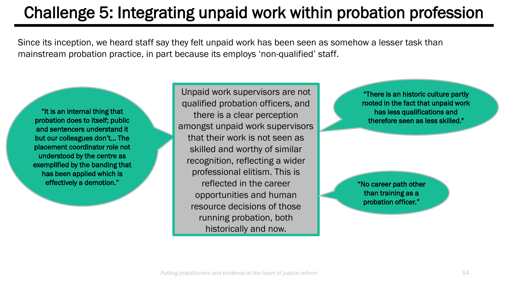### Challenge 5: Integrating unpaid work within probation profession

Since its inception, we heard staff say they felt unpaid work has been seen as somehow a lesser task than mainstream probation practice, in part because its employs 'non-qualified' staff.

"It is an internal thing that probation does to itself; public and sentencers understand it but our colleagues don't… The placement coordinator role not understood by the centre as exemplified by the banding that has been applied which is effectively a demotion."

Unpaid work supervisors are not qualified probation officers, and there is a clear perception amongst unpaid work supervisors that their work is not seen as skilled and worthy of similar recognition, reflecting a wider professional elitism. This is reflected in the career opportunities and human resource decisions of those running probation, both historically and now.

"There is an historic culture partly rooted in the fact that unpaid work has less qualifications and therefore seen as less skilled."

"No career path other than training as a probation officer."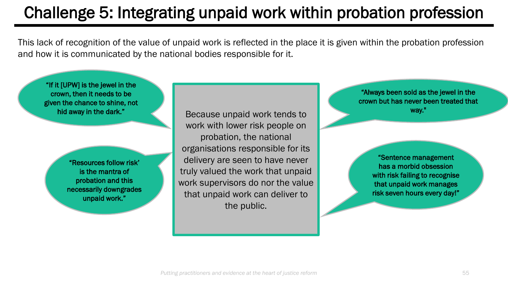### Challenge 5: Integrating unpaid work within probation profession

This lack of recognition of the value of unpaid work is reflected in the place it is given within the probation profession and how it is communicated by the national bodies responsible for it.

"If it [UPW] is the jewel in the crown, then it needs to be given the chance to shine, not hid away in the dark." "Resources follow risk' is the mantra of probation and this necessarily downgrades unpaid work." "Always been sold as the jewel in the crown but has never been treated that way." "Sentence management has a morbid obsession with risk failing to recognise that unpaid work manages risk seven hours every day!" Because unpaid work tends to work with lower risk people on probation, the national organisations responsible for its delivery are seen to have never truly valued the work that unpaid work supervisors do nor the value that unpaid work can deliver to the public.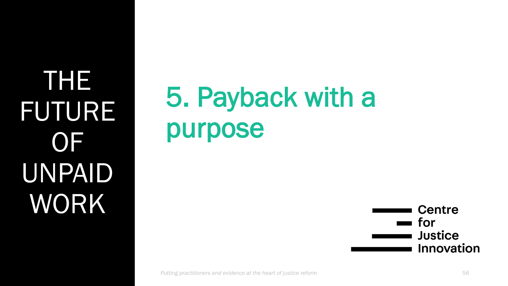THE FUTURE OF UNPAID WORK

# 5. Payback with a purpose

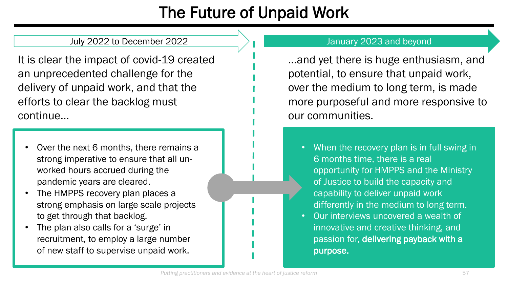### The Future of Unpaid Work

#### July 2022 to December 2022 **July 2023** and beyond

It is clear the impact of covid-19 created an unprecedented challenge for the delivery of unpaid work, and that the efforts to clear the backlog must continue…

- Over the next 6 months, there remains a strong imperative to ensure that all unworked hours accrued during the pandemic years are cleared.
- The HMPPS recovery plan places a strong emphasis on large scale projects to get through that backlog.
- The plan also calls for a 'surge' in recruitment, to employ a large number of new staff to supervise unpaid work.

...and yet there is huge enthusiasm, and potential, to ensure that unpaid work, over the medium to long term, is made more purposeful and more responsive to our communities.

- When the recovery plan is in full swing in 6 months time, there is a real opportunity for HMPPS and the Ministry of Justice to build the capacity and capability to deliver unpaid work differently in the medium to long term.
- Our interviews uncovered a wealth of innovative and creative thinking, and passion for, delivering payback with a purpose.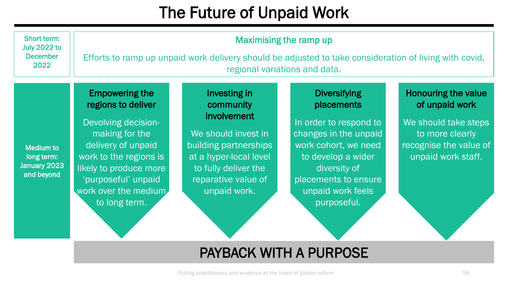### The Future of Unpaid Work

| Short term:<br><b>July 2022 to</b><br><b>December</b><br>2022 | <b>Maximising the ramp up</b><br>Efforts to ramp up unpaid work delivery should be adjusted to take consideration of living with covid,<br>regional variations and data.                                                       |                                                                                                                                                                                   |                                                                                                                                                                                                                |                                                                                                                                         |  |
|---------------------------------------------------------------|--------------------------------------------------------------------------------------------------------------------------------------------------------------------------------------------------------------------------------|-----------------------------------------------------------------------------------------------------------------------------------------------------------------------------------|----------------------------------------------------------------------------------------------------------------------------------------------------------------------------------------------------------------|-----------------------------------------------------------------------------------------------------------------------------------------|--|
| <b>Medium to</b><br>long term:<br>January 2023<br>and beyond  | <b>Empowering the</b><br>regions to deliver<br>Devolving decision-<br>making for the<br>delivery of unpaid<br>work to the regions is<br>likely to produce more<br>'purposeful' unpaid<br>work over the medium<br>to long term. | Investing in<br>community<br>involvement<br>We should invest in<br>building partnerships<br>at a hyper-local level<br>to fully deliver the<br>reparative value of<br>unpaid work. | <b>Diversifying</b><br>placements<br>In order to respond to<br>changes in the unpaid<br>work cohort, we need<br>to develop a wider<br>diversity of<br>placements to ensure<br>unpaid work feels<br>purposeful. | <b>Honouring the value</b><br>of unpaid work<br>We should take steps<br>to more clearly<br>recognise the value of<br>unpaid work staff. |  |
|                                                               | <b>PAYBACK WITH A PURPOSE</b>                                                                                                                                                                                                  |                                                                                                                                                                                   |                                                                                                                                                                                                                |                                                                                                                                         |  |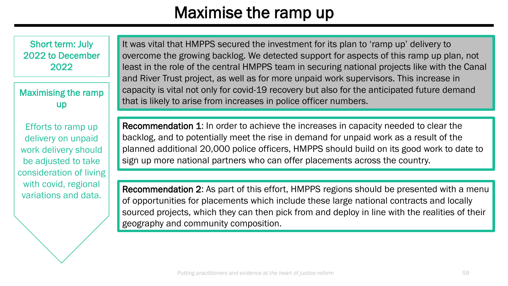### Maximise the ramp up

Short term: July 2022 to December 2022

Maximising the ramp up

Efforts to ramp up delivery on unpaid work delivery should be adjusted to take consideration of living with covid, regional variations and data.

It was vital that HMPPS secured the investment for its plan to 'ramp up' delivery to overcome the growing backlog. We detected support for aspects of this ramp up plan, not least in the role of the central HMPPS team in securing national projects like with the Canal and River Trust project, as well as for more unpaid work supervisors. This increase in capacity is vital not only for covid-19 recovery but also for the anticipated future demand that is likely to arise from increases in police officer numbers.

Recommendation 1: In order to achieve the increases in capacity needed to clear the backlog, and to potentially meet the rise in demand for unpaid work as a result of the planned additional 20,000 police officers, HMPPS should build on its good work to date to sign up more national partners who can offer placements across the country.

Recommendation 2: As part of this effort, HMPPS regions should be presented with a menu of opportunities for placements which include these large national contracts and locally sourced projects, which they can then pick from and deploy in line with the realities of their geography and community composition.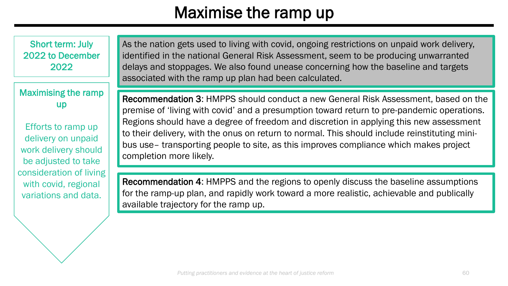### Maximise the ramp up

Short term: July 2022 to December 2022

### Maximising the ramp up

Efforts to ramp up delivery on unpaid work delivery should be adjusted to take consideration of living with covid, regional variations and data.

As the nation gets used to living with covid, ongoing restrictions on unpaid work delivery, identified in the national General Risk Assessment, seem to be producing unwarranted delays and stoppages. We also found unease concerning how the baseline and targets associated with the ramp up plan had been calculated.

Recommendation 3: HMPPS should conduct a new General Risk Assessment, based on the premise of 'living with covid' and a presumption toward return to pre-pandemic operations. Regions should have a degree of freedom and discretion in applying this new assessment to their delivery, with the onus on return to normal. This should include reinstituting minibus use– transporting people to site, as this improves compliance which makes project completion more likely.

Recommendation 4: HMPPS and the regions to openly discuss the baseline assumptions for the ramp-up plan, and rapidly work toward a more realistic, achievable and publically available trajectory for the ramp up.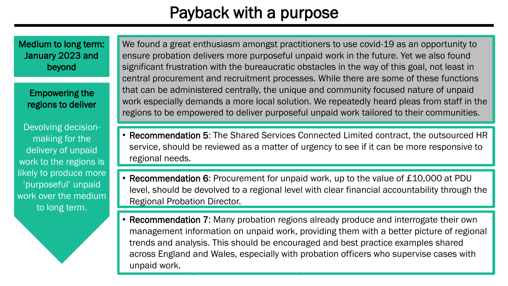Medium to long term: January 2023 and beyond

Empowering the regions to deliver

Devolving decisionmaking for the delivery of unpaid work to the regions is likely to produce more 'purposeful' unpaid work over the medium to long term.

We found a great enthusiasm amongst practitioners to use covid-19 as an opportunity to ensure probation delivers more purposeful unpaid work in the future. Yet we also found significant frustration with the bureaucratic obstacles in the way of this goal, not least in central procurement and recruitment processes. While there are some of these functions that can be administered centrally, the unique and community focused nature of unpaid work especially demands a more local solution. We repeatedly heard pleas from staff in the regions to be empowered to deliver purposeful unpaid work tailored to their communities.

- Recommendation 5: The Shared Services Connected Limited contract, the outsourced HR service, should be reviewed as a matter of urgency to see if it can be more responsive to regional needs.
- Recommendation 6: Procurement for unpaid work, up to the value of £10,000 at PDU level, should be devolved to a regional level with clear financial accountability through the Regional Probation Director.
- *Putting practitioners and evidence at the heart of justice reform* 61 • Recommendation 7: Many probation regions already produce and interrogate their own management information on unpaid work, providing them with a better picture of regional trends and analysis. This should be encouraged and best practice examples shared across England and Wales, especially with probation officers who supervise cases with unpaid work.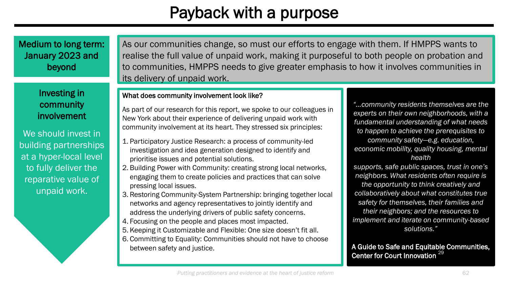Medium to long term: January 2023 and beyond

> Investing in community involvement

We should invest in building partnerships at a hyper-local level to fully deliver the reparative value of unpaid work.

As our communities change, so must our efforts to engage with them. If HMPPS wants to realise the full value of unpaid work, making it purposeful to both people on probation and to communities, HMPPS needs to give greater emphasis to how it involves communities in its delivery of unpaid work.

#### What does community involvement look like?

As part of our research for this report, we spoke to our colleagues in New York about their experience of delivering unpaid work with community involvement at its heart. They stressed six principles:

- 1. Participatory Justice Research: a process of community-led investigation and idea generation designed to identify and prioritise issues and potential solutions.
- 2. Building Power with Community: creating strong local networks, engaging them to create policies and practices that can solve pressing local issues.
- 3. Restoring Community-System Partnership: bringing together local networks and agency representatives to jointly identify and address the underlying drivers of public safety concerns.
- 4. Focusing on the people and places most impacted.
- 5. Keeping it Customizable and Flexible: One size doesn't fit all.
- 6. Committing to Equality: Communities should not have to choose between safety and justice.

*"…community residents themselves are the experts on their own neighborhoods, with a fundamental understanding of what needs to happen to achieve the prerequisites to community safety—e.g. education, economic mobility, quality housing, mental health*

*supports, safe public spaces, trust in one's neighbors. What residents often require is the opportunity to think creatively and collaboratively about what constitutes true safety for themselves, their families and their neighbors; and the resources to implement and iterate on community-based solutions."*

A Guide to Safe and Equitable Communities, Center for Court Innovation<sup>29</sup>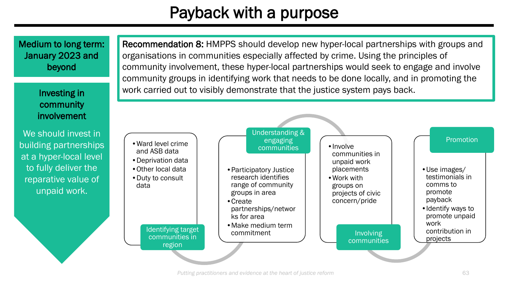Medium to long term: January 2023 and beyond

> community involvement

We should invest in building partnerships at a hyper-local level to fully deliver the reparative value of unpaid work.

Recommendation 8: HMPPS should develop new hyper-local partnerships with groups and organisations in communities especially affected by crime. Using the principles of community involvement, these hyper-local partnerships would seek to engage and involve community groups in identifying work that needs to be done locally, and in promoting the Investing in **Table 2018 Work carried out to visibly demonstrate that the justice system pays back.** 

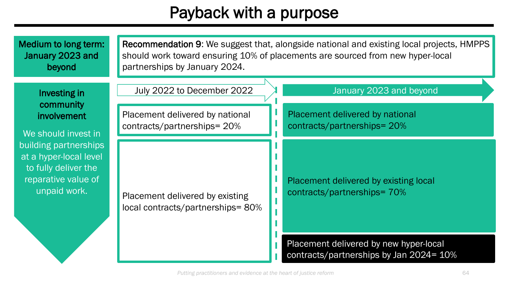| Medium to long term:<br>January 2023 and<br>beyond                                                             | <b>Recommendation 9:</b> We suggest that, alongside national and existing local projects, HMPPS<br>should work toward ensuring 10% of placements are sourced from new hyper-local<br>partnerships by January 2024. |  |                                                                                   |
|----------------------------------------------------------------------------------------------------------------|--------------------------------------------------------------------------------------------------------------------------------------------------------------------------------------------------------------------|--|-----------------------------------------------------------------------------------|
| Investing in<br>community                                                                                      | July 2022 to December 2022                                                                                                                                                                                         |  | January 2023 and beyond                                                           |
| involvement<br>We should invest in                                                                             | Placement delivered by national<br>contracts/partnerships= 20%                                                                                                                                                     |  | Placement delivered by national<br>contracts/partnerships= 20%                    |
| building partnerships<br>at a hyper-local level<br>to fully deliver the<br>reparative value of<br>unpaid work. | Placement delivered by existing<br>local contracts/partnerships=80%                                                                                                                                                |  | Placement delivered by existing local<br>contracts/partnerships=70%               |
|                                                                                                                |                                                                                                                                                                                                                    |  | Placement delivered by new hyper-local<br>contracts/partnerships by Jan 2024= 10% |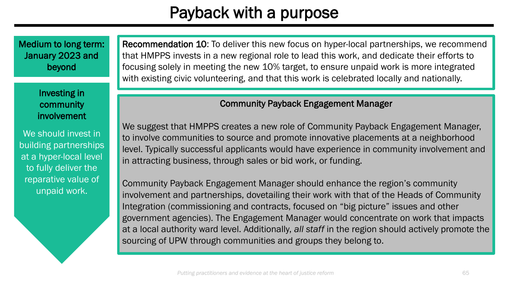Medium to long term: January 2023 and beyond

> Investing in community involvement

We should invest in building partnerships at a hyper-local level to fully deliver the reparative value of unpaid work.

Recommendation 10: To deliver this new focus on hyper-local partnerships, we recommend that HMPPS invests in a new regional role to lead this work, and dedicate their efforts to focusing solely in meeting the new 10% target, to ensure unpaid work is more integrated with existing civic volunteering, and that this work is celebrated locally and nationally.

#### Community Payback Engagement Manager

We suggest that HMPPS creates a new role of Community Payback Engagement Manager, to involve communities to source and promote innovative placements at a neighborhood level. Typically successful applicants would have experience in community involvement and in attracting business, through sales or bid work, or funding.

Community Payback Engagement Manager should enhance the region's community involvement and partnerships, dovetailing their work with that of the Heads of Community Integration (commissioning and contracts, focused on "big picture" issues and other government agencies). The Engagement Manager would concentrate on work that impacts at a local authority ward level. Additionally, *all staff* in the region should actively promote the sourcing of UPW through communities and groups they belong to.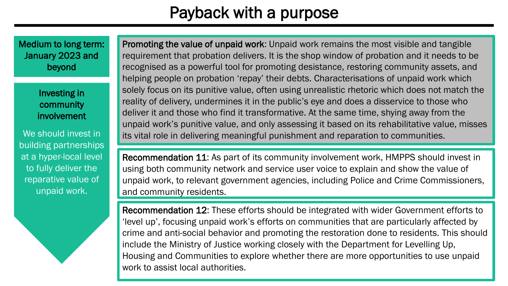Medium to long term: January 2023 and beyond

> Investing in community involvement

We should invest in building partnerships at a hyper-local level to fully deliver the reparative value of unpaid work.

Promoting the value of unpaid work: Unpaid work remains the most visible and tangible requirement that probation delivers. It is the shop window of probation and it needs to be recognised as a powerful tool for promoting desistance, restoring community assets, and helping people on probation 'repay' their debts. Characterisations of unpaid work which solely focus on its punitive value, often using unrealistic rhetoric which does not match the reality of delivery, undermines it in the public's eye and does a disservice to those who deliver it and those who find it transformative. At the same time, shying away from the unpaid work's punitive value, and only assessing it based on its rehabilitative value, misses its vital role in delivering meaningful punishment and reparation to communities.

Recommendation 11: As part of its community involvement work, HMPPS should invest in using both community network and service user voice to explain and show the value of unpaid work, to relevant government agencies, including Police and Crime Commissioners, and community residents.

*Putting practitioners and evidence at the heart of justice reform* 66 Recommendation 12: These efforts should be integrated with wider Government efforts to 'level up', focusing unpaid work's efforts on communities that are particularly affected by crime and anti-social behavior and promoting the restoration done to residents. This should include the Ministry of Justice working closely with the Department for Levelling Up, Housing and Communities to explore whether there are more opportunities to use unpaid work to assist local authorities.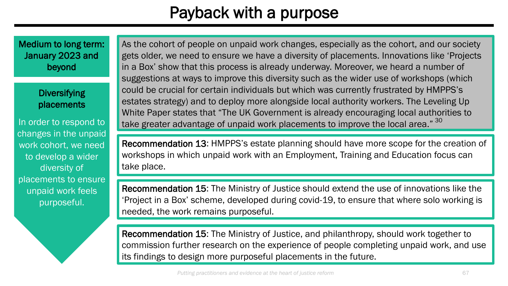Medium to long term: January 2023 and beyond

> **Diversifying** placements

In order to respond to changes in the unpaid work cohort, we need to develop a wider diversity of placements to ensure unpaid work feels purposeful.

As the cohort of people on unpaid work changes, especially as the cohort, and our society gets older, we need to ensure we have a diversity of placements. Innovations like 'Projects in a Box' show that this process is already underway. Moreover, we heard a number of suggestions at ways to improve this diversity such as the wider use of workshops (which could be crucial for certain individuals but which was currently frustrated by HMPPS's estates strategy) and to deploy more alongside local authority workers. The Leveling Up White Paper states that "The UK Government is already encouraging local authorities to take greater advantage of unpaid work placements to improve the local area." 30

Recommendation 13: HMPPS's estate planning should have more scope for the creation of workshops in which unpaid work with an Employment, Training and Education focus can take place.

Recommendation 15: The Ministry of Justice should extend the use of innovations like the 'Project in a Box' scheme, developed during covid-19, to ensure that where solo working is needed, the work remains purposeful.

Recommendation 15: The Ministry of Justice, and philanthropy, should work together to commission further research on the experience of people completing unpaid work, and use its findings to design more purposeful placements in the future.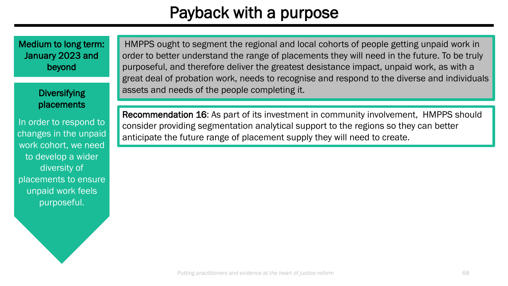Medium to long term: January 2023 and beyond

> **Diversifying** placements

In order to respond to changes in the unpaid work cohort, we need to develop a wider diversity of placements to ensure unpaid work feels purposeful.

HMPPS ought to segment the regional and local cohorts of people getting unpaid work in order to better understand the range of placements they will need in the future. To be truly purposeful, and therefore deliver the greatest desistance impact, unpaid work, as with a great deal of probation work, needs to recognise and respond to the diverse and individuals assets and needs of the people completing it.

Recommendation 16: As part of its investment in community involvement, HMPPS should consider providing segmentation analytical support to the regions so they can better anticipate the future range of placement supply they will need to create.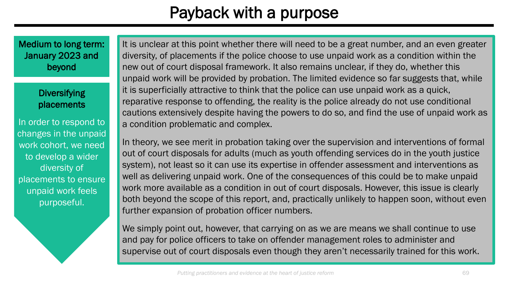Medium to long term: January 2023 and beyond

> **Diversifying** placements

In order to respond to changes in the unpaid work cohort, we need to develop a wider diversity of placements to ensure unpaid work feels purposeful.

It is unclear at this point whether there will need to be a great number, and an even greater diversity, of placements if the police choose to use unpaid work as a condition within the new out of court disposal framework. It also remains unclear, if they do, whether this unpaid work will be provided by probation. The limited evidence so far suggests that, while it is superficially attractive to think that the police can use unpaid work as a quick, reparative response to offending, the reality is the police already do not use conditional cautions extensively despite having the powers to do so, and find the use of unpaid work as a condition problematic and complex.

In theory, we see merit in probation taking over the supervision and interventions of formal out of court disposals for adults (much as youth offending services do in the youth justice system), not least so it can use its expertise in offender assessment and interventions as well as delivering unpaid work. One of the consequences of this could be to make unpaid work more available as a condition in out of court disposals. However, this issue is clearly both beyond the scope of this report, and, practically unlikely to happen soon, without even further expansion of probation officer numbers.

We simply point out, however, that carrying on as we are means we shall continue to use and pay for police officers to take on offender management roles to administer and supervise out of court disposals even though they aren't necessarily trained for this work.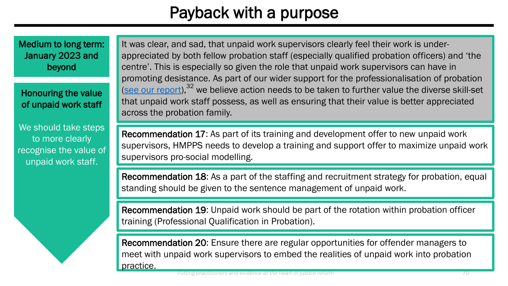Medium to long term: January 2023 and beyond

#### Honouring the value of unpaid work staff

We should take steps to more clearly recognise the value of unpaid work staff.

It was clear, and sad, that unpaid work supervisors clearly feel their work is underappreciated by both fellow probation staff (especially qualified probation officers) and 'the centre'. This is especially so given the role that unpaid work supervisors can have in promoting desistance. As part of our wider support for the professionalisation of probation [\(see our report](https://justiceinnovation.org/sites/default/files/media/document/2021/cji_probation_2020.pdf)),<sup>32</sup> we believe action needs to be taken to further value the diverse skill-set that unpaid work staff possess, as well as ensuring that their value is better appreciated across the probation family.

Recommendation 17: As part of its training and development offer to new unpaid work supervisors, HMPPS needs to develop a training and support offer to maximize unpaid work supervisors pro-social modelling.

Recommendation 18: As a part of the staffing and recruitment strategy for probation, equal standing should be given to the sentence management of unpaid work.

Recommendation 19: Unpaid work should be part of the rotation within probation officer training (Professional Qualification in Probation).

Recommendation 20: Ensure there are regular opportunities for offender managers to meet with unpaid work supervisors to embed the realities of unpaid work into probation practice.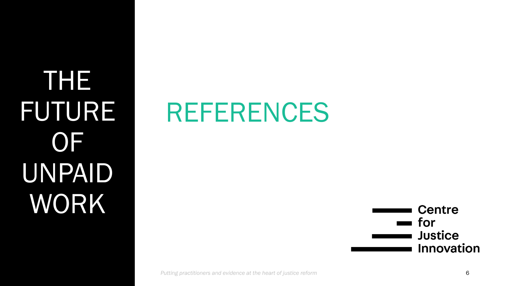THE FUTURE **OF** UNPAID WORK

# REFERENCES

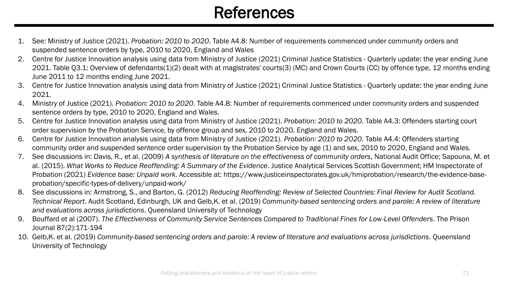### **References**

- 1. See: Ministry of Justice (2021). *Probation: 2010 to 2020*. Table A4.8: Number of requirements commenced under community orders and suspended sentence orders by type, 2010 to 2020, England and Wales
- 2. Centre for Justice Innovation analysis using data from Ministry of Justice (2021) Criminal Justice Statistics Quarterly update: the year ending June 2021. Table Q3.1: Overview of defendants(1)(2) dealt with at magistrates' courts(3) (MC) and Crown Courts (CC) by offence type, 12 months ending June 2011 to 12 months ending June 2021.
- 3. Centre for Justice Innovation analysis using data from Ministry of Justice (2021) Criminal Justice Statistics Quarterly update: the year ending June 2021.
- 4. Ministry of Justice (2021). *Probation: 2010 to 2020*. Table A4.8: Number of requirements commenced under community orders and suspended sentence orders by type, 2010 to 2020, England and Wales.
- 5. Centre for Justice Innovation analysis using data from Ministry of Justice (2021). *Probation: 2010 to 2020*. Table A4.3: Offenders starting court order supervision by the Probation Service, by offence group and sex, 2010 to 2020, England and Wales.
- 6. Centre for Justice Innovation analysis using data from Ministry of Justice (2021). *Probation: 2010 to 2020*. Table A4.4: Offenders starting community order and suspended sentence order supervision by the Probation Service by age (1) and sex, 2010 to 2020, England and Wales.
- 7. See discussions in: Davis, R., et al. (2009) *A synthesis of literature on the effectiveness of community orders*, National Audit Office; Sapouna, M. et al. (2015). *What Works to Reduce Reoffending: A Summary of the Evidence*. Justice Analytical Services Scottish Government; HM Inspectorate of Probation (2021) *Evidence base: Unpaid work*. Accessible at: https://www.justiceinspectorates.gov.uk/hmiprobation/research/the-evidence-baseprobation/specific-types-of-delivery/unpaid-work/
- 8. See discussions in: Armstrong, S., and Barton, G. (2012) *Reducing Reoffending: Review of Selected Countries: Final Review for Audit Scotland. Technical Report*. Audit Scotland, Edinburgh, UK and Gelb,K. et al. (2019) *Community-based sentencing orders and parole: A review of literature and evaluations across jurisdictions*. Queensland University of Technology
- 9. Bouffard et al (2007). *The Effectiveness of Community Service Sentences Compared to Traditional Fines for Low-Level Offenders*. The Prison Journal 87(2):171-194
- 10. Gelb,K. et al. (2019) *Community-based sentencing orders and parole: A review of literature and evaluations across jurisdictions*. Queensland University of Technology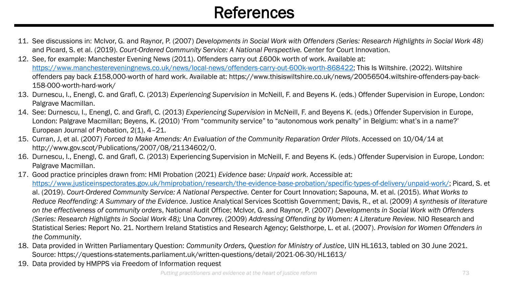# **References**

- 11. See discussions in: McIvor, G. and Raynor, P. (2007) *Developments in Social Work with Offenders (Series: Research Highlights in Social Work 48)*  and Picard, S. et al. (2019). *Court-Ordered Community Service: A National Perspective.* Center for Court Innovation.
- 12. See, for example: Manchester Evening News (2011). Offenders carry out £600k worth of work. Available at: [https://www.manchestereveningnews.co.uk/news/local-news/offenders-carry-out-600k-worth-868422;](https://www.manchestereveningnews.co.uk/news/local-news/offenders-carry-out-600k-worth-868422) This Is Wiltshire. (2022). Wiltshire offenders pay back £158,000-worth of hard work. Available at: https://www.thisiswiltshire.co.uk/news/20056504.wiltshire-offenders-pay-back-158-000-worth-hard-work/
- 13. Durnescu, I., Enengl, C. and Grafl, C. (2013) *Experiencing Supervision* in McNeill, F. and Beyens K. (eds.) Offender Supervision in Europe, London: Palgrave Macmillan.
- 14. See: Durnescu, I., Enengl, C. and Grafl, C. (2013) *Experiencing Supervision* in McNeill, F. and Beyens K. (eds.) Offender Supervision in Europe, London: Palgrave Macmillan; Beyens, K. (2010) 'From "community service" to "autonomous work penalty" in Belgium: what's in a name?' European Journal of Probation, 2(1), 4–21.
- 15. Curran, J, et al. (2007) *Forced to Make Amends: An Evaluation of the Community Reparation Order Pilots*. Accessed on 10/04/14 at http://www.gov.scot/Publications/2007/08/21134602/0.
- 16. Durnescu, I., Enengl, C. and Grafl, C. (2013) Experiencing Supervision in McNeill, F. and Beyens K. (eds.) Offender Supervision in Europe, London: Palgrave Macmillan.
- 17. Good practice principles drawn from: HMI Probation (2021) *Evidence base: Unpaid work*. Accessible at: [https://www.justiceinspectorates.gov.uk/hmiprobation/research/the-evidence-base-probation/specific-types-of-delivery/unpaid-work/;](https://www.justiceinspectorates.gov.uk/hmiprobation/research/the-evidence-base-probation/specific-types-of-delivery/unpaid-work/) Picard, S. et al. (2019). *Court-Ordered Community Service: A National Perspective.* Center for Court Innovation; Sapouna, M. et al. (2015). *What Works to Reduce Reoffending: A Summary of the Evidence*. Justice Analytical Services Scottish Government; Davis, R., et al. (2009) *A synthesis of literature on the effectiveness of community orders*, National Audit Office; McIvor, G. and Raynor, P. (2007) *Developments in Social Work with Offenders (Series: Research Highlights in Social Work 48);* Una Convrey. (2009) *Addressing Offending by Women: A Literature Review.* NIO Research and Statistical Series: Report No. 21. Northern Ireland Statistics and Research Agency; Gelsthorpe, L. et al. (2007). *Provision for Women Offenders in the Community*.
- 18. Data provided in Written Parliamentary Question: *Community Orders, Question for Ministry of Justice*, UIN HL1613, tabled on 30 June 2021. Source: https://questions-statements.parliament.uk/written-questions/detail/2021-06-30/HL1613/
- 19. Data provided by HMPPS via Freedom of Information request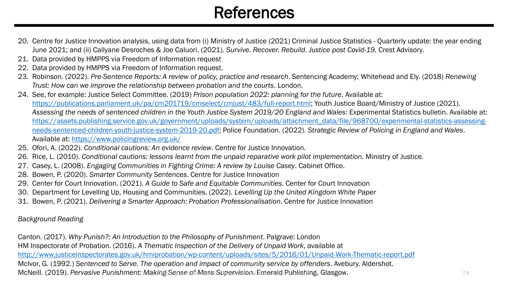# **References**

- 20. Centre for Justice Innovation analysis, using data from (i) Ministry of Justice (2021) Criminal Justice Statistics Quarterly update: the year ending June 2021; and (ii) Callyane Desroches & Joe Caluori. (2021). *Survive. Recover. Rebuild. Justice post Covid-19.* Crest Advisory.
- 21. Data provided by HMPPS via Freedom of Information request
- 22. Data provided by HMPPS via Freedom of Information request.
- 23. Robinson. (2022). *Pre-Sentence Reports: A review of policy, practice and research*. Sentencing Academy; Whitehead and Ely. (2018) *Renewing Trust: How can we improve the relationship between probation and the courts*. London.
- 24. See, for example: Justice Select Committee. (2019) *Prison population 2022: planning for the future*. Available at: <https://publications.parliament.uk/pa/cm201719/cmselect/cmjust/483/full-report.html>; Youth Justice Board/Ministry of Justice (2021). Assessing the needs of sentenced children in the Youth Justice System 2019/20 England and Wales: Experimental Statistics bulletin. Available at: [https://assets.publishing.service.gov.uk/government/uploads/system/uploads/attachment\\_data/file/968700/experimental-statistics-assessing](https://assets.publishing.service.gov.uk/government/uploads/system/uploads/attachment_data/file/968700/experimental-statistics-assessing-needs-sentenced-children-youth-justice-system-2019-20.pdf)needs-sentenced-children-youth-justice-system-2019-20.pdf; Police Foundation. (2022). *Strategic Review of Policing in England and Wales*. Available at: <https://www.policingreview.org.uk/>
- 25. Ofori, A. (2022). *Conditional cautions: An evidence review*. Centre for Justice Innovation.
- 26. Rice, L. (2010). *Conditional cautions: lessons learnt from the unpaid reparative work pilot implementation.* Ministry of Justice*.*
- 27. Casey, L. (2008). *Engaging Communities in Fighting Crime: A review by Louise Casey*. Cabinet Office.
- 28. Bowen, P. (2020). *Smarter Community Sentences*. Centre for Justice Innovation
- 29. Center for Court Innovation. (2021). *A Guide to Safe and Equitable Communities*. Center for Court Innovation
- 30. Department for Levelling Up, Housing and Communities. (2022). *Levelling Up the United Kingdom White Paper*
- 31. Bowen, P. (2021). *Delivering a Smarter Approach: Probation Professionalisation*. Centre for Justice Innovation

### *Background Reading*

Canton. (2017). *Why Punish?: An Introduction to the Philosophy of Punishment*. Palgrave: London HM Inspectorate of Probation. (2016). *A Thematic Inspection of the Delivery of Unpaid Work*, available at <http://www.justiceinspectorates.gov.uk/hmiprobation/wp-content/uploads/sites/5/2016/01/Unpaid-Work-Thematic-report.pdf> McIvor, G. (1992.) *Sentenced to Serve. The operation and impact of community service by offenders*. Avebury. Aldershot. McNeill. (2019). *Pervasive Punishment: Making Sense of Mass Supervisiont Emerald Publishing. Glasgow.* **Parameters and the heart of justice reformance reformance reformance reformance reformance reformance reformance refo**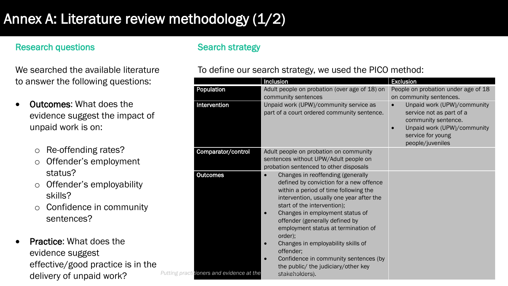## Annex A: Literature review methodology (1/2)

## Research questions

We searched the available literature to answer the following questions:

- Outcomes: What does the evidence suggest the impact of unpaid work is on:
	- o Re-offending rates?
	- o Offender's employment status?
	- o Offender's employability skills?
	- o Confidence in community sentences?
- Practice: What does the evidence suggest effective/good practice is in the delivery of unpaid work?

## Search strategy

## To define our search strategy, we used the PICO method:

|                                           | Inclusion                                                                                                                                                                                                                                                                                                                                                                                                                                                                                         | <b>Exclusion</b>                                                                                                                                       |
|-------------------------------------------|---------------------------------------------------------------------------------------------------------------------------------------------------------------------------------------------------------------------------------------------------------------------------------------------------------------------------------------------------------------------------------------------------------------------------------------------------------------------------------------------------|--------------------------------------------------------------------------------------------------------------------------------------------------------|
| Population                                | Adult people on probation (over age of 18) on<br>community sentences                                                                                                                                                                                                                                                                                                                                                                                                                              | People on probation under age of 18<br>on community sentences.                                                                                         |
| Intervention                              | Unpaid work (UPW)/community service as<br>part of a court ordered community sentence.                                                                                                                                                                                                                                                                                                                                                                                                             | Unpaid work (UPW)/community<br>service not as part of a<br>community sentence.<br>Unpaid work (UPW)/community<br>service for young<br>people/juveniles |
| Comparator/control                        | Adult people on probation on community<br>sentences without UPW/Adult people on<br>probation sentenced to other disposals                                                                                                                                                                                                                                                                                                                                                                         |                                                                                                                                                        |
| <b>Outcomes</b>                           | Changes in reoffending (generally<br>$\bullet$<br>defined by conviction for a new offence<br>within a period of time following the<br>intervention, usually one year after the<br>start of the intervention);<br>Changes in employment status of<br>offender (generally defined by<br>employment status at termination of<br>order);<br>Changes in employability skills of<br>$\bullet$<br>offender:<br>Confidence in community sentences (by<br>$\bullet$<br>the public/ the judiciary/other key |                                                                                                                                                        |
| Putting practitioners and evidence at the | stakeholders).                                                                                                                                                                                                                                                                                                                                                                                                                                                                                    |                                                                                                                                                        |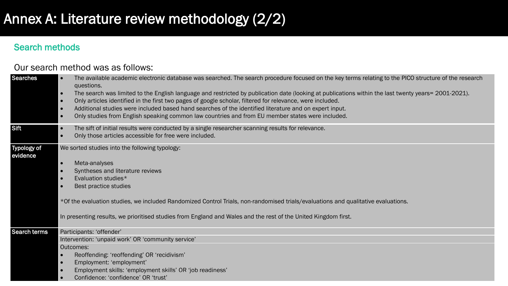## Annex A: Literature review methodology (2/2)

## Search methods

### Our search method was as follows:

| <b>Searches</b>         | The available academic electronic database was searched. The search procedure focused on the key terms relating to the PICO structure of the research<br>questions.<br>The search was limited to the English language and restricted by publication date (looking at publications within the last twenty years= 2001-2021).<br>$\bullet$<br>Only articles identified in the first two pages of google scholar, filtered for relevance, were included.<br>$\bullet$<br>Additional studies were included based hand searches of the identified literature and on expert input.<br>$\bullet$<br>Only studies from English speaking common law countries and from EU member states were included.<br>$\bullet$ |
|-------------------------|------------------------------------------------------------------------------------------------------------------------------------------------------------------------------------------------------------------------------------------------------------------------------------------------------------------------------------------------------------------------------------------------------------------------------------------------------------------------------------------------------------------------------------------------------------------------------------------------------------------------------------------------------------------------------------------------------------|
| Sift                    | The sift of initial results were conducted by a single researcher scanning results for relevance.<br>$\bullet$<br>Only those articles accessible for free were included.<br>$\bullet$                                                                                                                                                                                                                                                                                                                                                                                                                                                                                                                      |
| Typology of<br>evidence | We sorted studies into the following typology:<br>Meta-analyses<br>$\bullet$<br>Syntheses and literature reviews<br>$\bullet$<br>Evaluation studies*<br>$\bullet$<br>Best practice studies<br>*Of the evaluation studies, we included Randomized Control Trials, non-randomised trials/evaluations and qualitative evaluations.<br>In presenting results, we prioritised studies from England and Wales and the rest of the United Kingdom first.                                                                                                                                                                                                                                                          |
| <b>Search terms</b>     | Participants: 'offender'                                                                                                                                                                                                                                                                                                                                                                                                                                                                                                                                                                                                                                                                                   |
|                         | Intervention: 'unpaid work' OR 'community service'                                                                                                                                                                                                                                                                                                                                                                                                                                                                                                                                                                                                                                                         |
|                         | Outcomes:<br>Reoffending: 'reoffending' OR 'recidivism'<br>$\bullet$                                                                                                                                                                                                                                                                                                                                                                                                                                                                                                                                                                                                                                       |
|                         | Employment: 'employment'<br>$\bullet$                                                                                                                                                                                                                                                                                                                                                                                                                                                                                                                                                                                                                                                                      |
|                         | Employment skills: 'employment skills' OR 'job readiness'                                                                                                                                                                                                                                                                                                                                                                                                                                                                                                                                                                                                                                                  |
|                         | Confidence: 'confidence' OR 'trust'                                                                                                                                                                                                                                                                                                                                                                                                                                                                                                                                                                                                                                                                        |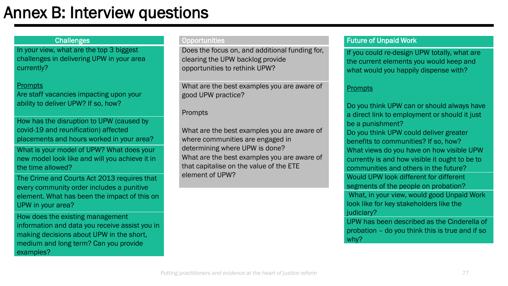# Annex B: Interview questions

### **Challenges**

In your view, what are the top 3 biggest challenges in delivering UPW in your area currently?

#### **Prompts**

Are staff vacancies impacting upon your ability to deliver UPW? If so, how?

How has the disruption to UPW (caused by covid-19 and reunification) affected placements and hours worked in your area?

What is your model of UPW? What does your new model look like and will you achieve it in the time allowed?

The Crime and Courts Act 2013 requires that every community order includes a punitive element. What has been the impact of this on UPW in your area?

How does the existing management information and data you receive assist you in making decisions about UPW in the short, medium and long term? Can you provide examples?

#### **Opportunities**

Does the focus on, and additional funding for, clearing the UPW backlog provide opportunities to rethink UPW?

What are the best examples you are aware of good UPW practice?

#### Prompts

What are the best examples you are aware of where communities are engaged in determining where UPW is done? What are the best examples you are aware of that capitalise on the value of the ETE element of UPW?

### Future of Unpaid Work

If you could re-design UPW totally, what are the current elements you would keep and what would you happily dispense with?

#### Prompts

why?

Do you think UPW can or should always have a direct link to employment or should it just be a punishment? Do you think UPW could deliver greater benefits to communities? If so, how? What views do you have on how visible UPW currently is and how visible it ought to be to communities and others in the future? Would UPW look different for different segments of the people on probation? What, in your view, would good Unpaid Work look like for key stakeholders like the judiciary? UPW has been described as the Cinderella of probation – do you think this is true and if so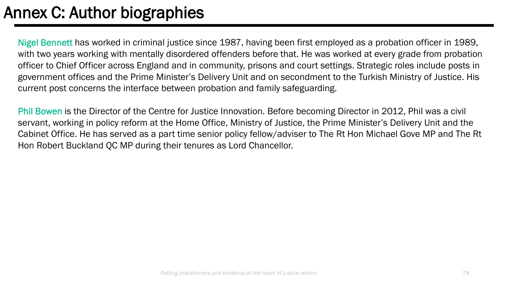# Annex C: Author biographies

Nigel Bennett has worked in criminal justice since 1987, having been first employed as a probation officer in 1989, with two years working with mentally disordered offenders before that. He was worked at every grade from probation officer to Chief Officer across England and in community, prisons and court settings. Strategic roles include posts in government offices and the Prime Minister's Delivery Unit and on secondment to the Turkish Ministry of Justice. His current post concerns the interface between probation and family safeguarding.

Phil Bowen is the Director of the Centre for Justice Innovation. Before becoming Director in 2012, Phil was a civil servant, working in policy reform at the Home Office, Ministry of Justice, the Prime Minister's Delivery Unit and the Cabinet Office. He has served as a part time senior policy fellow/adviser to The Rt Hon Michael Gove MP and The Rt Hon Robert Buckland QC MP during their tenures as Lord Chancellor.